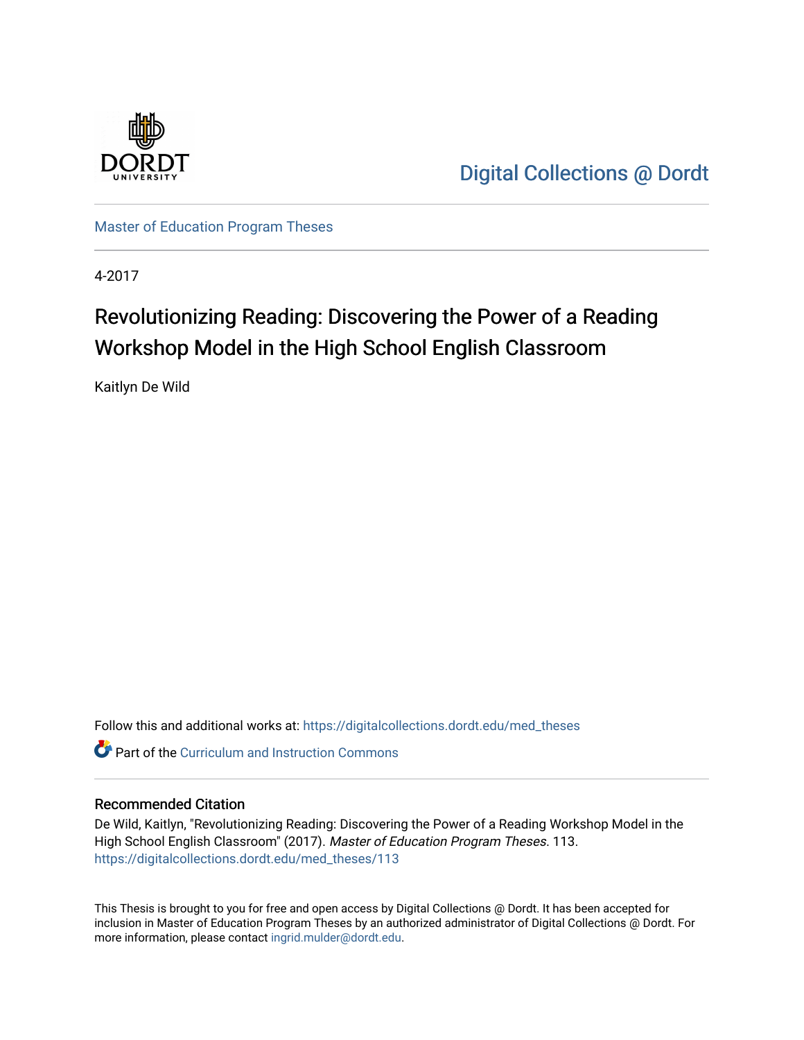

[Digital Collections @ Dordt](https://digitalcollections.dordt.edu/) 

[Master of Education Program Theses](https://digitalcollections.dordt.edu/med_theses) 

4-2017

# Revolutionizing Reading: Discovering the Power of a Reading Workshop Model in the High School English Classroom

Kaitlyn De Wild

Follow this and additional works at: [https://digitalcollections.dordt.edu/med\\_theses](https://digitalcollections.dordt.edu/med_theses?utm_source=digitalcollections.dordt.edu%2Fmed_theses%2F113&utm_medium=PDF&utm_campaign=PDFCoverPages)

**Part of the Curriculum and Instruction Commons** 

#### Recommended Citation

De Wild, Kaitlyn, "Revolutionizing Reading: Discovering the Power of a Reading Workshop Model in the High School English Classroom" (2017). Master of Education Program Theses. 113. [https://digitalcollections.dordt.edu/med\\_theses/113](https://digitalcollections.dordt.edu/med_theses/113?utm_source=digitalcollections.dordt.edu%2Fmed_theses%2F113&utm_medium=PDF&utm_campaign=PDFCoverPages)

This Thesis is brought to you for free and open access by Digital Collections @ Dordt. It has been accepted for inclusion in Master of Education Program Theses by an authorized administrator of Digital Collections @ Dordt. For more information, please contact [ingrid.mulder@dordt.edu.](mailto:ingrid.mulder@dordt.edu)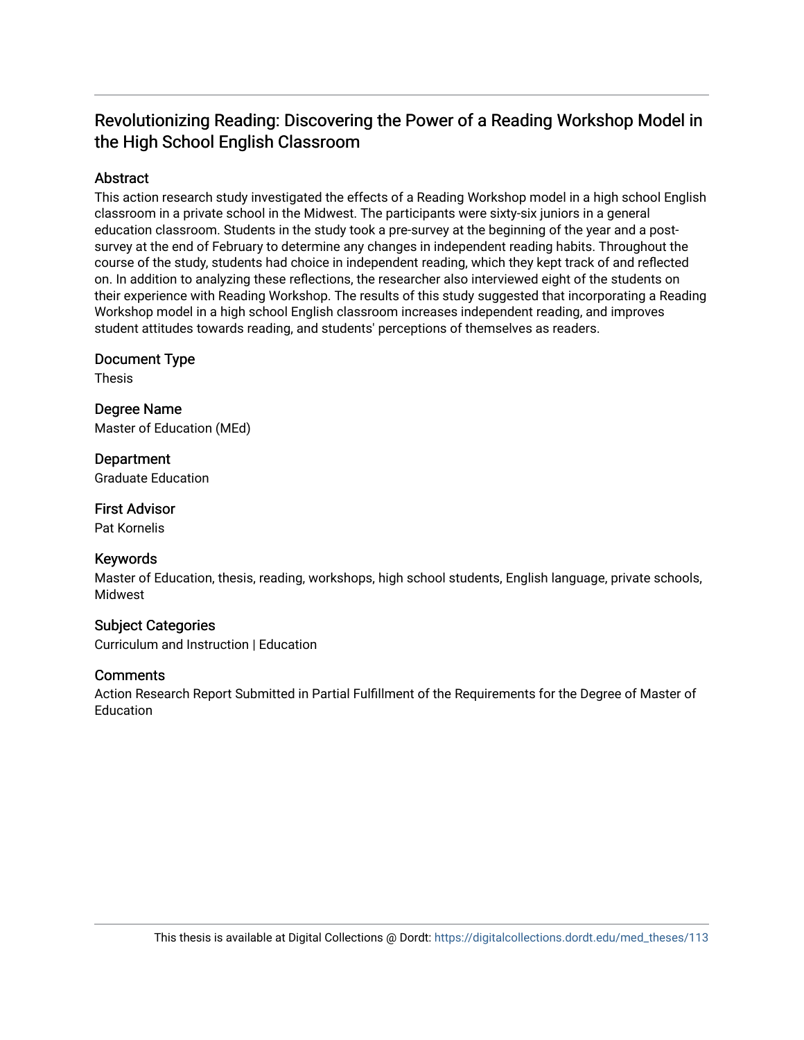# Revolutionizing Reading: Discovering the Power of a Reading Workshop Model in the High School English Classroom

# **Abstract**

This action research study investigated the effects of a Reading Workshop model in a high school English classroom in a private school in the Midwest. The participants were sixty-six juniors in a general education classroom. Students in the study took a pre-survey at the beginning of the year and a postsurvey at the end of February to determine any changes in independent reading habits. Throughout the course of the study, students had choice in independent reading, which they kept track of and reflected on. In addition to analyzing these reflections, the researcher also interviewed eight of the students on their experience with Reading Workshop. The results of this study suggested that incorporating a Reading Workshop model in a high school English classroom increases independent reading, and improves student attitudes towards reading, and students' perceptions of themselves as readers.

Document Type

Thesis

Degree Name Master of Education (MEd)

**Department** Graduate Education

First Advisor Pat Kornelis

# Keywords

Master of Education, thesis, reading, workshops, high school students, English language, private schools, Midwest

# Subject Categories

Curriculum and Instruction | Education

# **Comments**

Action Research Report Submitted in Partial Fulfillment of the Requirements for the Degree of Master of **Education**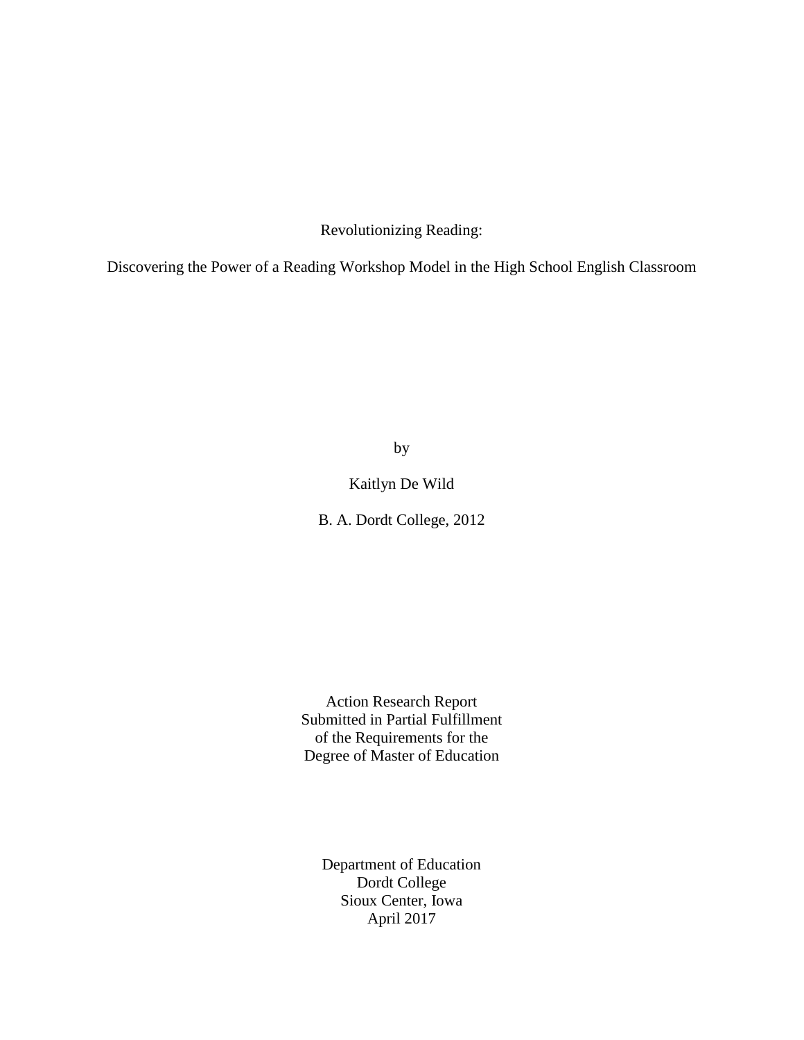Revolutionizing Reading:

Discovering the Power of a Reading Workshop Model in the High School English Classroom

by

Kaitlyn De Wild

B. A. Dordt College, 2012

Action Research Report Submitted in Partial Fulfillment of the Requirements for the Degree of Master of Education

Department of Education Dordt College Sioux Center, Iowa April 2017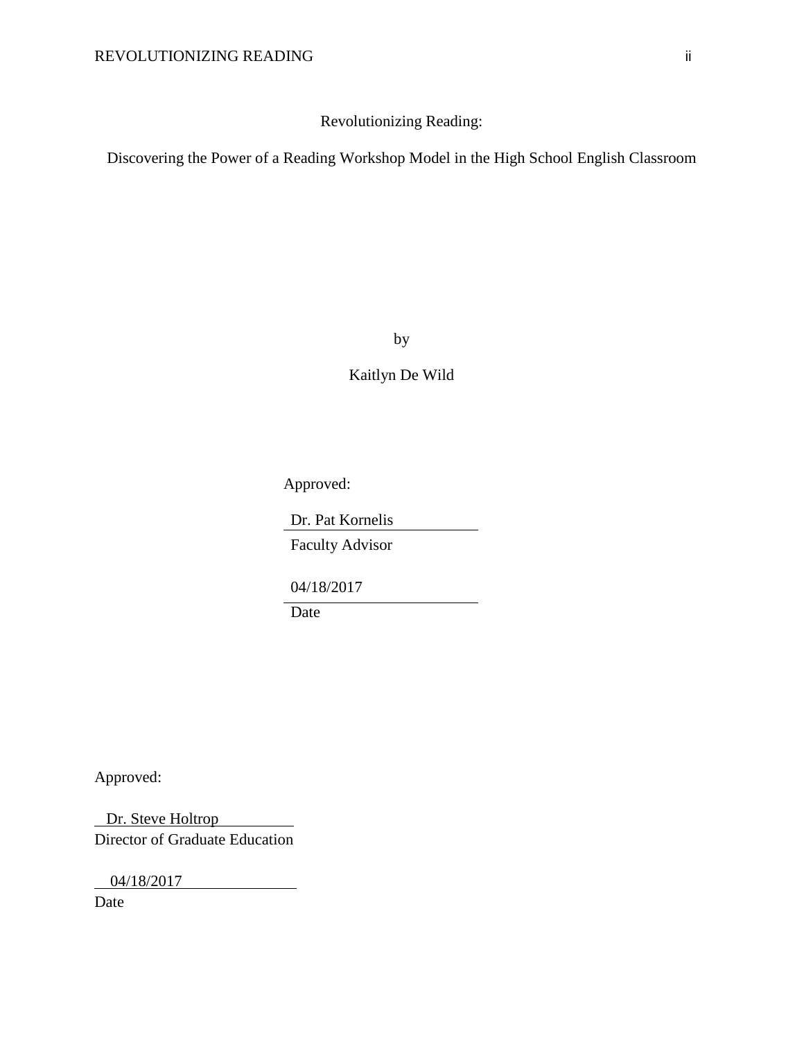Revolutionizing Reading:

Discovering the Power of a Reading Workshop Model in the High School English Classroom

by

Kaitlyn De Wild

Approved:

Dr. Pat Kornelis

Faculty Advisor

04/18/2017

Date

Approved:

 Dr. Steve Holtrop Director of Graduate Education

04/18/2017

Date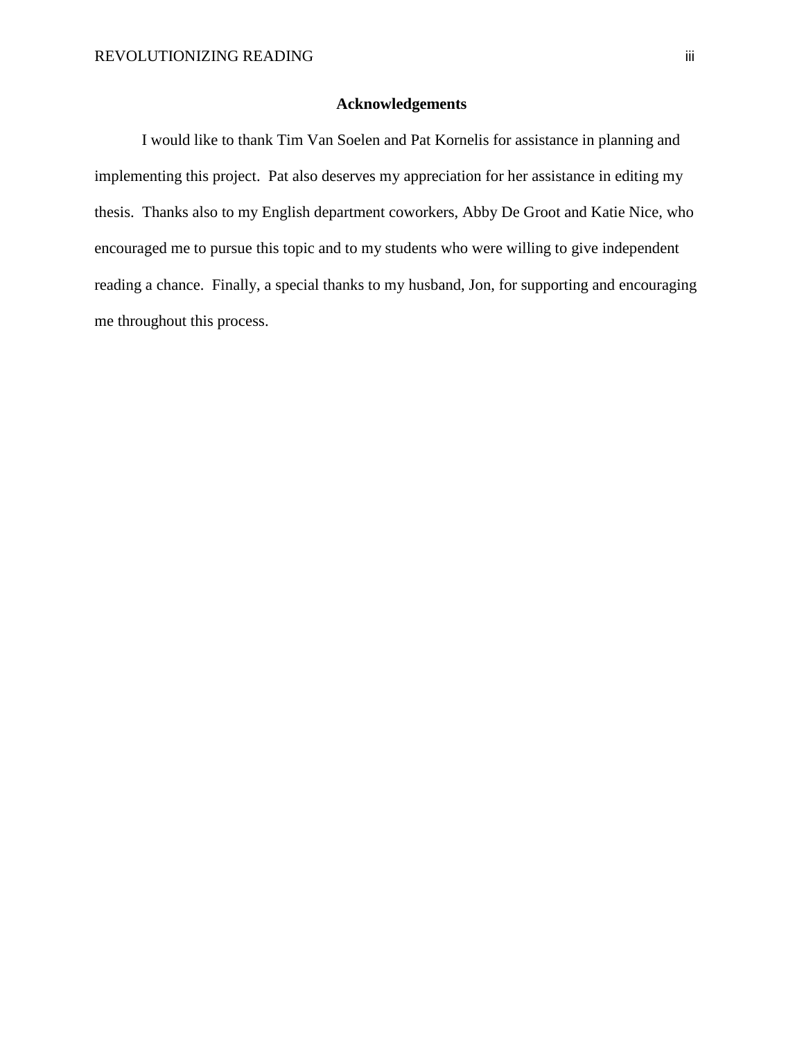#### **Acknowledgements**

I would like to thank Tim Van Soelen and Pat Kornelis for assistance in planning and implementing this project. Pat also deserves my appreciation for her assistance in editing my thesis. Thanks also to my English department coworkers, Abby De Groot and Katie Nice, who encouraged me to pursue this topic and to my students who were willing to give independent reading a chance. Finally, a special thanks to my husband, Jon, for supporting and encouraging me throughout this process.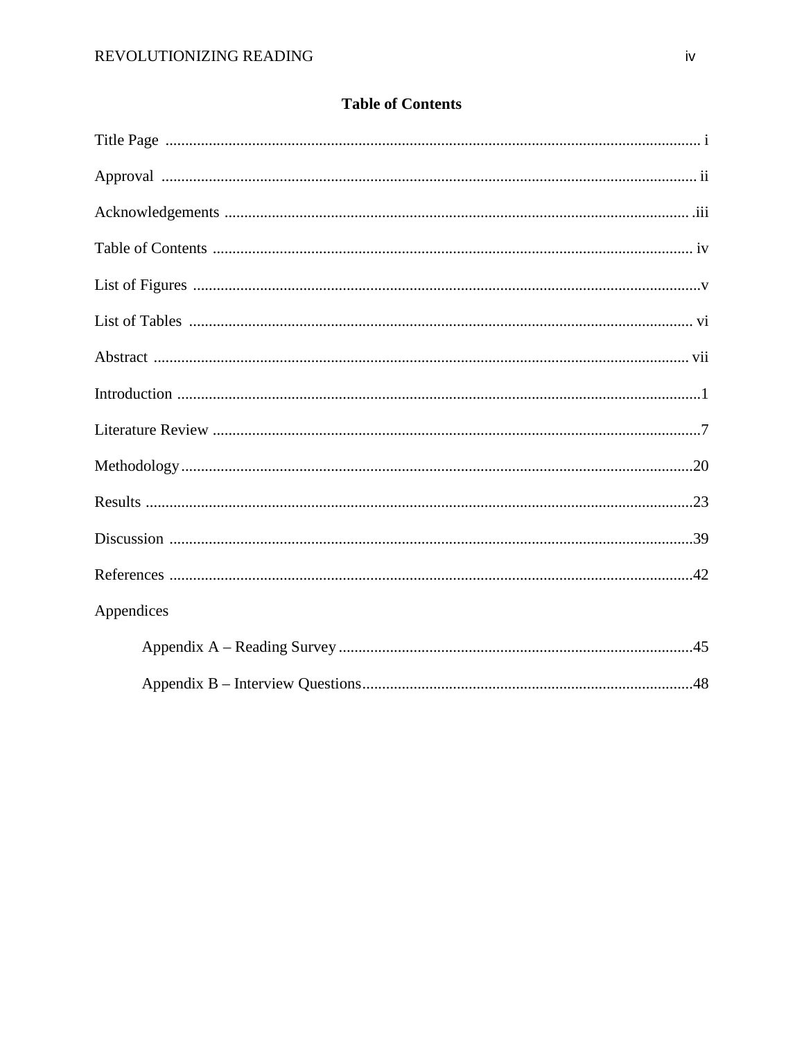| <b>Table of Contents</b> |  |
|--------------------------|--|
|--------------------------|--|

| Appendices |
|------------|
|            |
|            |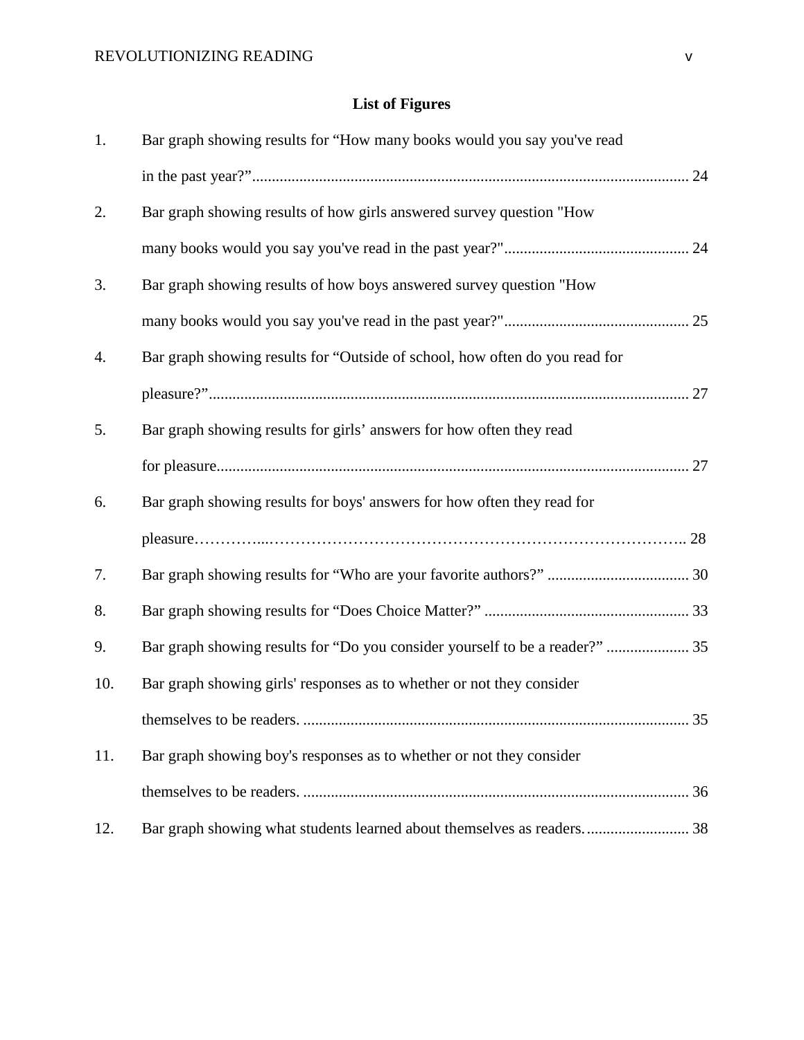# **List of Figures**

| 1.  | Bar graph showing results for "How many books would you say you've read      |     |
|-----|------------------------------------------------------------------------------|-----|
|     |                                                                              |     |
| 2.  | Bar graph showing results of how girls answered survey question "How         |     |
|     |                                                                              |     |
| 3.  | Bar graph showing results of how boys answered survey question "How          |     |
|     |                                                                              |     |
| 4.  | Bar graph showing results for "Outside of school, how often do you read for  |     |
|     |                                                                              |     |
| 5.  | Bar graph showing results for girls' answers for how often they read         |     |
|     |                                                                              |     |
| 6.  | Bar graph showing results for boys' answers for how often they read for      |     |
|     |                                                                              |     |
| 7.  |                                                                              |     |
| 8.  |                                                                              |     |
| 9.  | Bar graph showing results for "Do you consider yourself to be a reader?"  35 |     |
| 10. | Bar graph showing girls' responses as to whether or not they consider        |     |
|     |                                                                              | .35 |
| 11. | Bar graph showing boy's responses as to whether or not they consider         |     |
|     |                                                                              |     |
| 12. | Bar graph showing what students learned about themselves as readers 38       |     |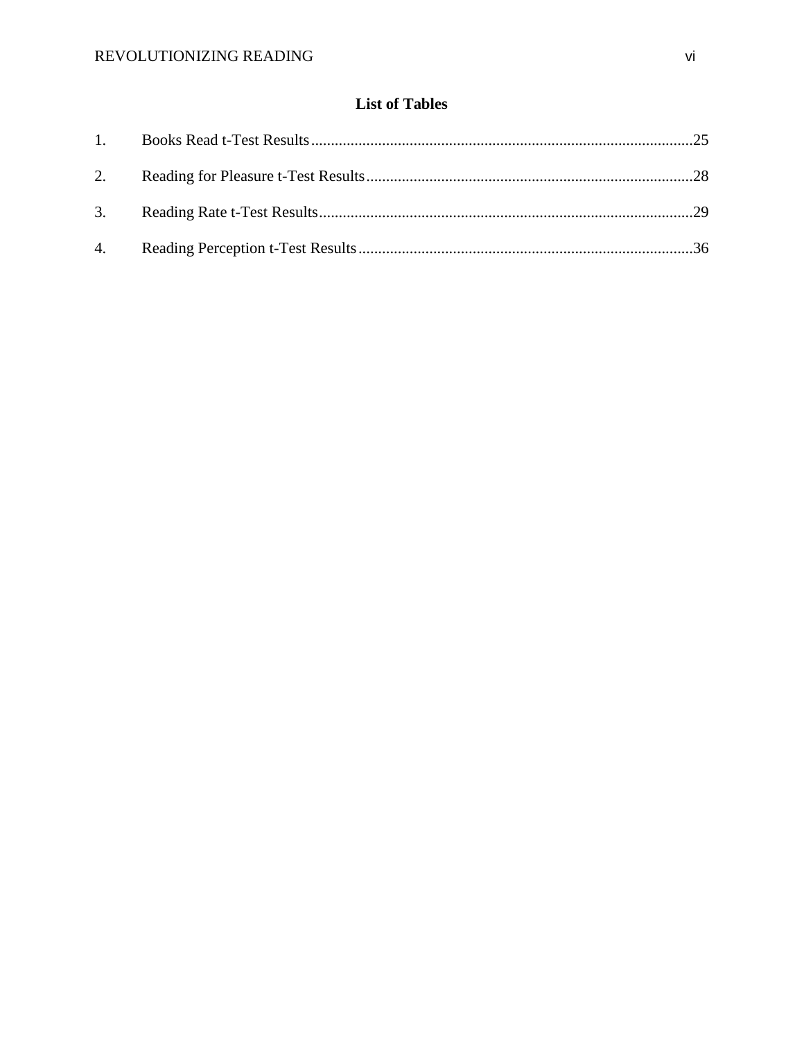# **List of Tables**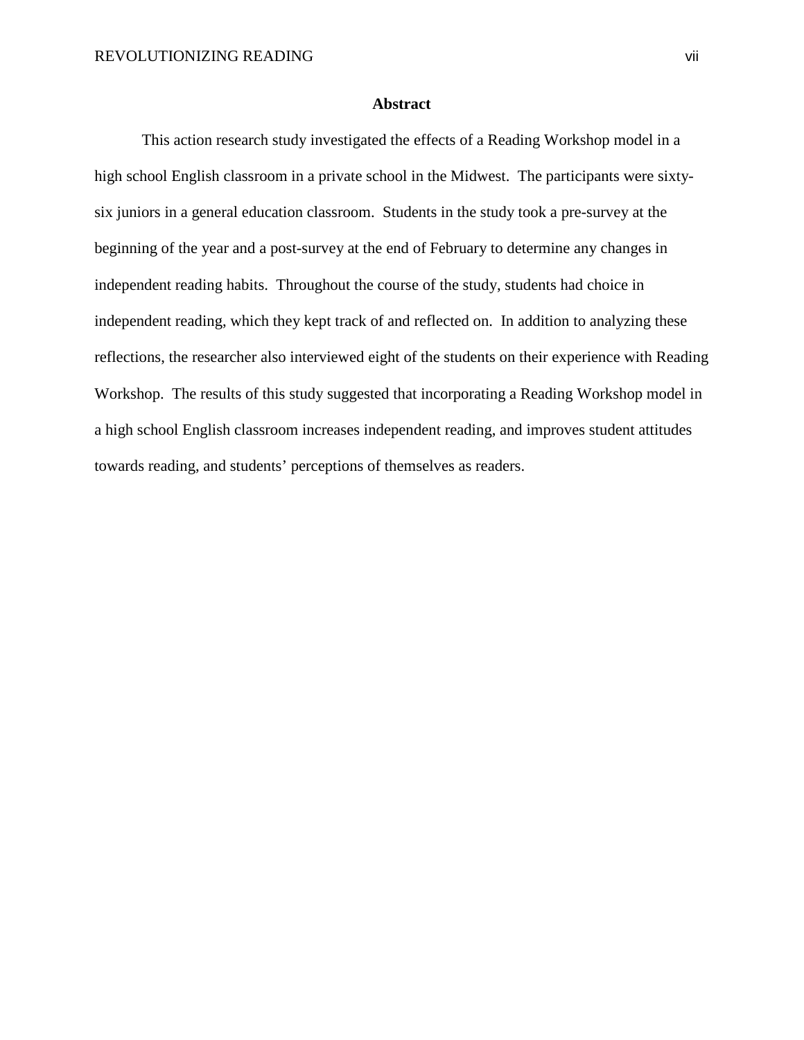#### **Abstract**

This action research study investigated the effects of a Reading Workshop model in a high school English classroom in a private school in the Midwest. The participants were sixtysix juniors in a general education classroom. Students in the study took a pre-survey at the beginning of the year and a post-survey at the end of February to determine any changes in independent reading habits. Throughout the course of the study, students had choice in independent reading, which they kept track of and reflected on. In addition to analyzing these reflections, the researcher also interviewed eight of the students on their experience with Reading Workshop. The results of this study suggested that incorporating a Reading Workshop model in a high school English classroom increases independent reading, and improves student attitudes towards reading, and students' perceptions of themselves as readers.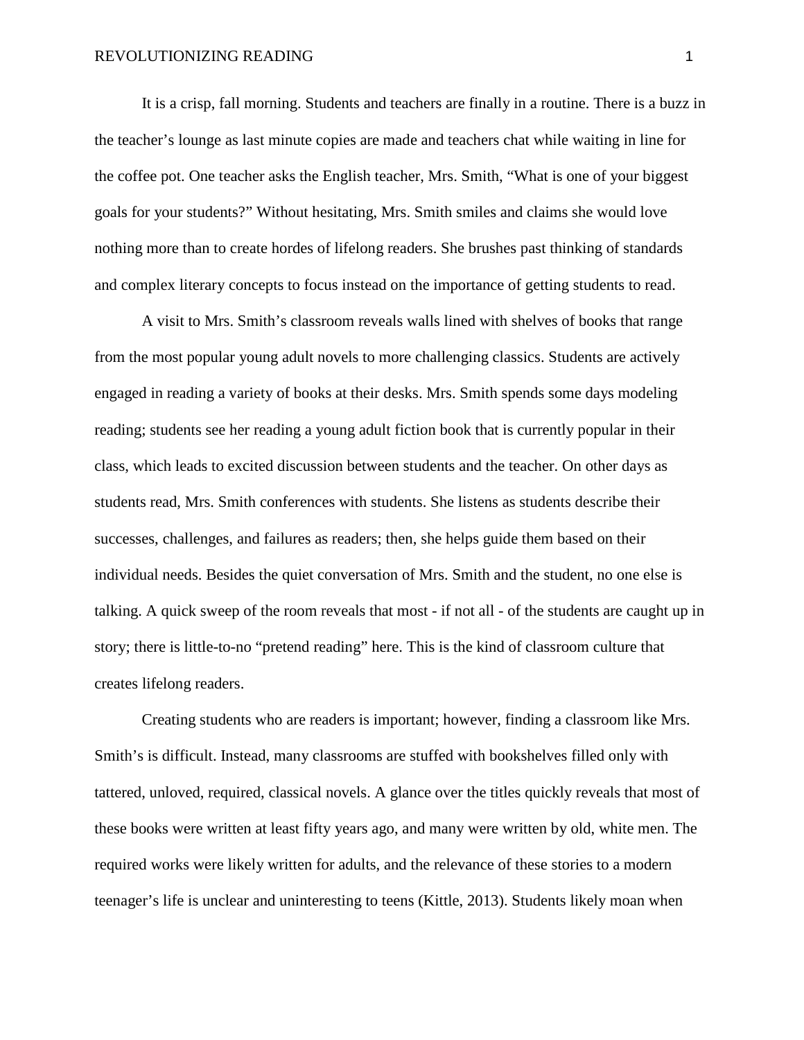It is a crisp, fall morning. Students and teachers are finally in a routine. There is a buzz in the teacher's lounge as last minute copies are made and teachers chat while waiting in line for the coffee pot. One teacher asks the English teacher, Mrs. Smith, "What is one of your biggest goals for your students?" Without hesitating, Mrs. Smith smiles and claims she would love nothing more than to create hordes of lifelong readers. She brushes past thinking of standards and complex literary concepts to focus instead on the importance of getting students to read.

A visit to Mrs. Smith's classroom reveals walls lined with shelves of books that range from the most popular young adult novels to more challenging classics. Students are actively engaged in reading a variety of books at their desks. Mrs. Smith spends some days modeling reading; students see her reading a young adult fiction book that is currently popular in their class, which leads to excited discussion between students and the teacher. On other days as students read, Mrs. Smith conferences with students. She listens as students describe their successes, challenges, and failures as readers; then, she helps guide them based on their individual needs. Besides the quiet conversation of Mrs. Smith and the student, no one else is talking. A quick sweep of the room reveals that most - if not all - of the students are caught up in story; there is little-to-no "pretend reading" here. This is the kind of classroom culture that creates lifelong readers.

Creating students who are readers is important; however, finding a classroom like Mrs. Smith's is difficult. Instead, many classrooms are stuffed with bookshelves filled only with tattered, unloved, required, classical novels. A glance over the titles quickly reveals that most of these books were written at least fifty years ago, and many were written by old, white men. The required works were likely written for adults, and the relevance of these stories to a modern teenager's life is unclear and uninteresting to teens (Kittle, 2013). Students likely moan when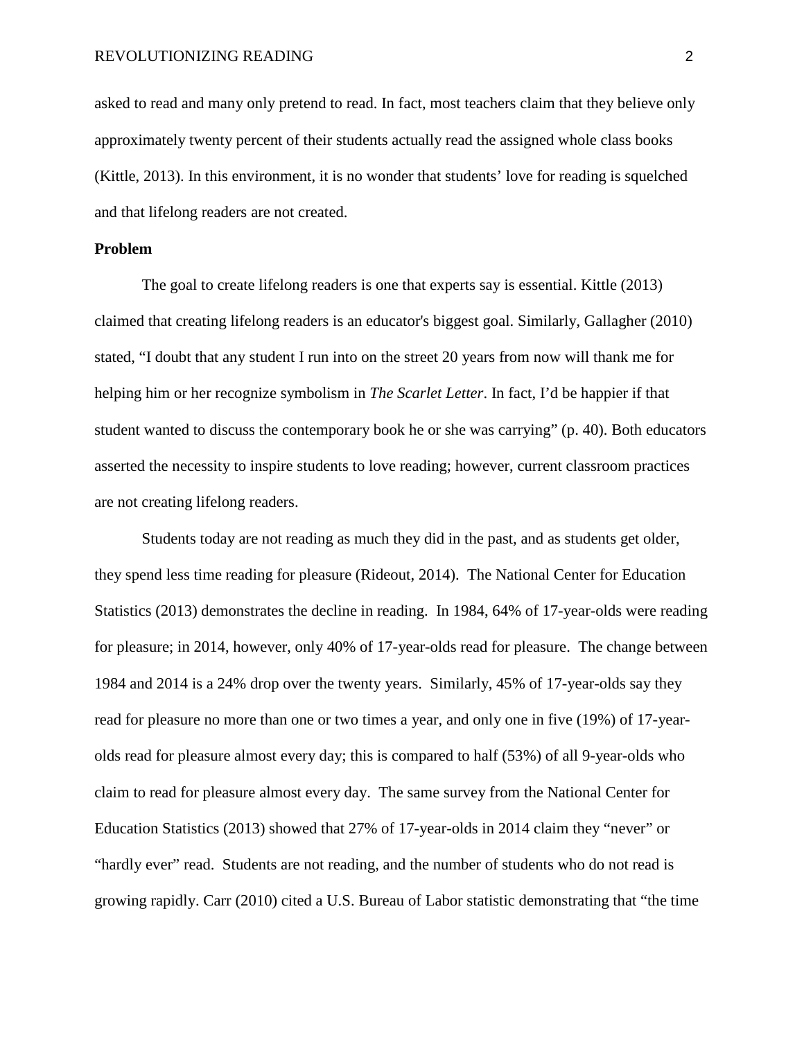asked to read and many only pretend to read. In fact, most teachers claim that they believe only approximately twenty percent of their students actually read the assigned whole class books (Kittle, 2013). In this environment, it is no wonder that students' love for reading is squelched and that lifelong readers are not created.

#### **Problem**

The goal to create lifelong readers is one that experts say is essential. Kittle (2013) claimed that creating lifelong readers is an educator's biggest goal. Similarly, Gallagher (2010) stated, "I doubt that any student I run into on the street 20 years from now will thank me for helping him or her recognize symbolism in *The Scarlet Letter*. In fact, I'd be happier if that student wanted to discuss the contemporary book he or she was carrying" (p. 40). Both educators asserted the necessity to inspire students to love reading; however, current classroom practices are not creating lifelong readers.

Students today are not reading as much they did in the past, and as students get older, they spend less time reading for pleasure (Rideout, 2014). The National Center for Education Statistics (2013) demonstrates the decline in reading. In 1984, 64% of 17-year-olds were reading for pleasure; in 2014, however, only 40% of 17-year-olds read for pleasure. The change between 1984 and 2014 is a 24% drop over the twenty years. Similarly, 45% of 17-year-olds say they read for pleasure no more than one or two times a year, and only one in five (19%) of 17-yearolds read for pleasure almost every day; this is compared to half (53%) of all 9-year-olds who claim to read for pleasure almost every day. The same survey from the National Center for Education Statistics (2013) showed that 27% of 17-year-olds in 2014 claim they "never" or "hardly ever" read. Students are not reading, and the number of students who do not read is growing rapidly. Carr (2010) cited a U.S. Bureau of Labor statistic demonstrating that "the time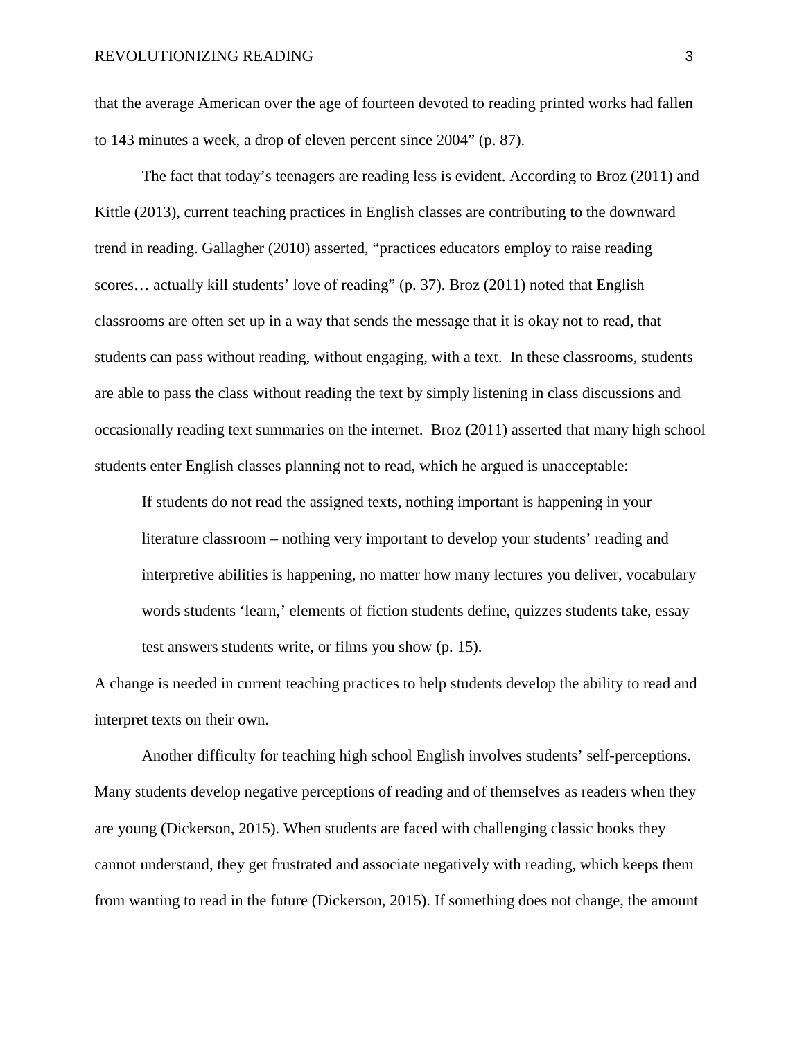that the average American over the age of fourteen devoted to reading printed works had fallen to 143 minutes a week, a drop of eleven percent since 2004" (p. 87).

The fact that today's teenagers are reading less is evident. According to Broz (2011) and Kittle (2013), current teaching practices in English classes are contributing to the downward trend in reading. Gallagher (2010) asserted, "practices educators employ to raise reading scores... actually kill students' love of reading" (p. 37). Broz (2011) noted that English classrooms are often set up in a way that sends the message that it is okay not to read, that students can pass without reading, without engaging, with a text. In these classrooms, students are able to pass the class without reading the text by simply listening in class discussions and occasionally reading text summaries on the internet. Broz (2011) asserted that many high school students enter English classes planning not to read, which he argued is unacceptable:

If students do not read the assigned texts, nothing important is happening in your literature classroom – nothing very important to develop your students' reading and interpretive abilities is happening, no matter how many lectures you deliver, vocabulary words students 'learn,' elements of fiction students define, quizzes students take, essay test answers students write, or films you show (p. 15).

A change is needed in current teaching practices to help students develop the ability to read and interpret texts on their own.

Another difficulty for teaching high school English involves students' self-perceptions. Many students develop negative perceptions of reading and of themselves as readers when they are young (Dickerson, 2015). When students are faced with challenging classic books they cannot understand, they get frustrated and associate negatively with reading, which keeps them from wanting to read in the future (Dickerson, 2015). If something does not change, the amount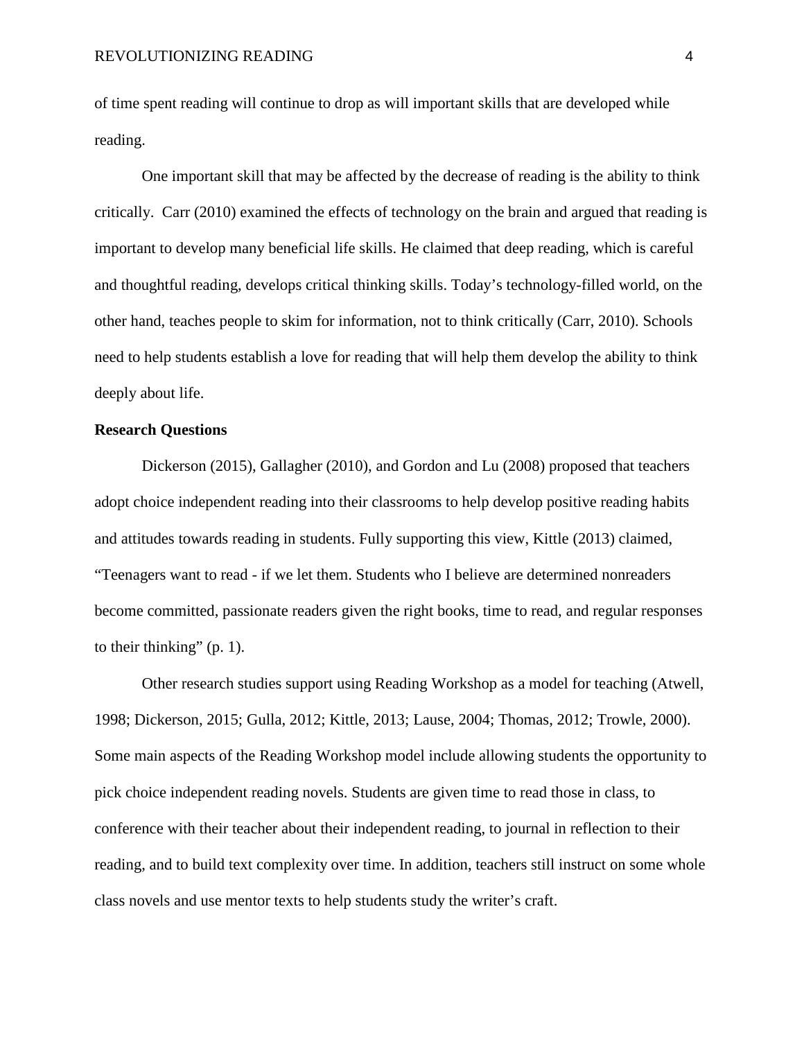of time spent reading will continue to drop as will important skills that are developed while reading.

One important skill that may be affected by the decrease of reading is the ability to think critically. Carr (2010) examined the effects of technology on the brain and argued that reading is important to develop many beneficial life skills. He claimed that deep reading, which is careful and thoughtful reading, develops critical thinking skills. Today's technology-filled world, on the other hand, teaches people to skim for information, not to think critically (Carr, 2010). Schools need to help students establish a love for reading that will help them develop the ability to think deeply about life.

#### **Research Questions**

Dickerson (2015), Gallagher (2010), and Gordon and Lu (2008) proposed that teachers adopt choice independent reading into their classrooms to help develop positive reading habits and attitudes towards reading in students. Fully supporting this view, Kittle (2013) claimed, "Teenagers want to read - if we let them. Students who I believe are determined nonreaders become committed, passionate readers given the right books, time to read, and regular responses to their thinking" (p. 1).

Other research studies support using Reading Workshop as a model for teaching (Atwell, 1998; Dickerson, 2015; Gulla, 2012; Kittle, 2013; Lause, 2004; Thomas, 2012; Trowle, 2000). Some main aspects of the Reading Workshop model include allowing students the opportunity to pick choice independent reading novels. Students are given time to read those in class, to conference with their teacher about their independent reading, to journal in reflection to their reading, and to build text complexity over time. In addition, teachers still instruct on some whole class novels and use mentor texts to help students study the writer's craft.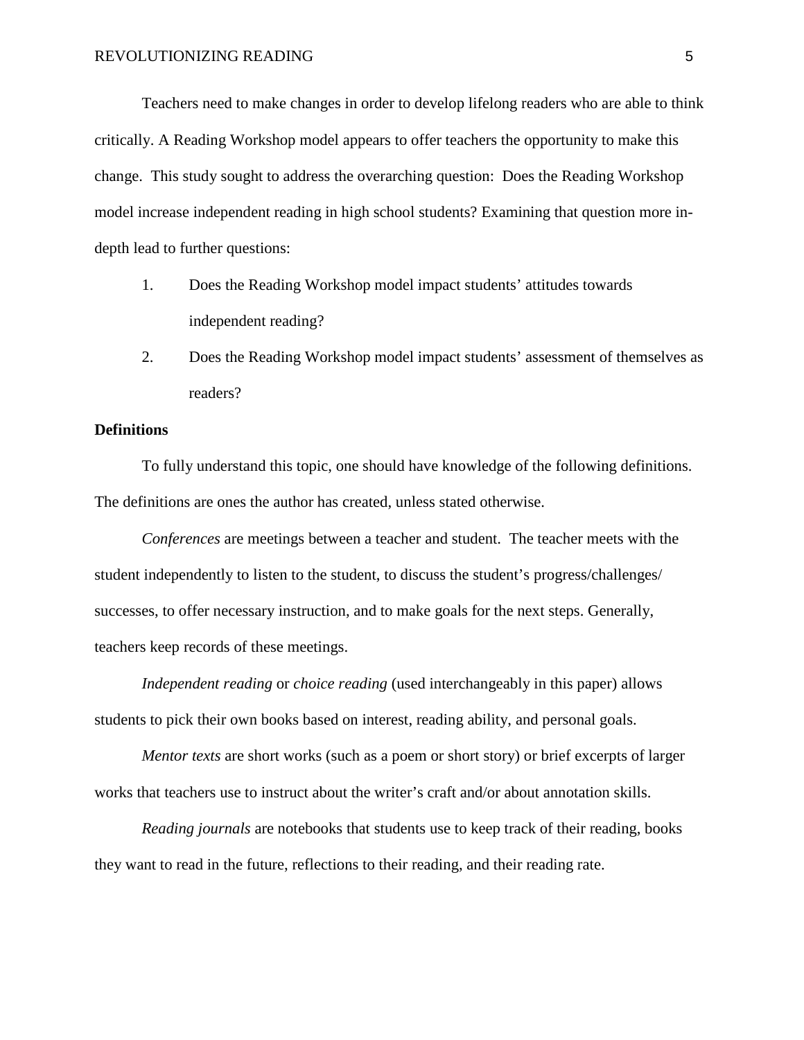Teachers need to make changes in order to develop lifelong readers who are able to think critically. A Reading Workshop model appears to offer teachers the opportunity to make this change. This study sought to address the overarching question: Does the Reading Workshop model increase independent reading in high school students? Examining that question more indepth lead to further questions:

- 1. Does the Reading Workshop model impact students' attitudes towards independent reading?
- 2. Does the Reading Workshop model impact students' assessment of themselves as readers?

#### **Definitions**

To fully understand this topic, one should have knowledge of the following definitions. The definitions are ones the author has created, unless stated otherwise.

*Conferences* are meetings between a teacher and student. The teacher meets with the student independently to listen to the student, to discuss the student's progress/challenges/ successes, to offer necessary instruction, and to make goals for the next steps. Generally, teachers keep records of these meetings.

*Independent reading* or *choice reading* (used interchangeably in this paper) allows students to pick their own books based on interest, reading ability, and personal goals.

*Mentor texts* are short works (such as a poem or short story) or brief excerpts of larger works that teachers use to instruct about the writer's craft and/or about annotation skills.

*Reading journals* are notebooks that students use to keep track of their reading, books they want to read in the future, reflections to their reading, and their reading rate.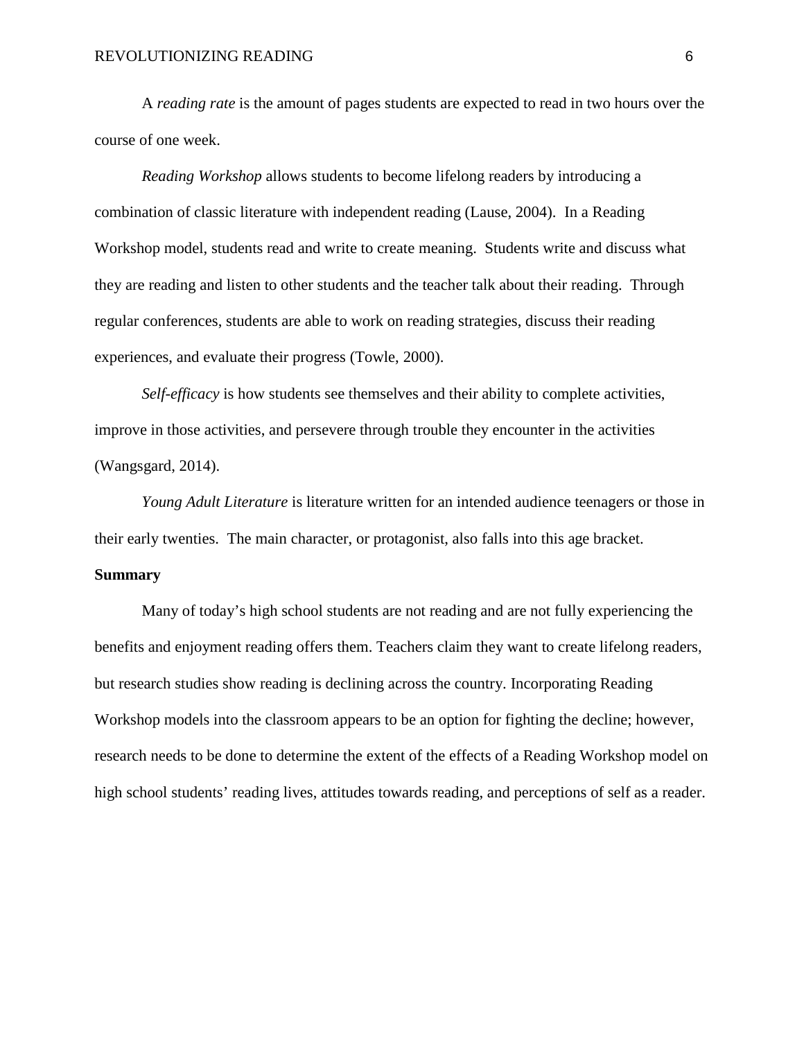A *reading rate* is the amount of pages students are expected to read in two hours over the course of one week.

*Reading Workshop* allows students to become lifelong readers by introducing a combination of classic literature with independent reading (Lause, 2004). In a Reading Workshop model, students read and write to create meaning. Students write and discuss what they are reading and listen to other students and the teacher talk about their reading. Through regular conferences, students are able to work on reading strategies, discuss their reading experiences, and evaluate their progress (Towle, 2000).

*Self-efficacy* is how students see themselves and their ability to complete activities, improve in those activities, and persevere through trouble they encounter in the activities (Wangsgard, 2014).

*Young Adult Literature* is literature written for an intended audience teenagers or those in their early twenties. The main character, or protagonist, also falls into this age bracket.

# **Summary**

Many of today's high school students are not reading and are not fully experiencing the benefits and enjoyment reading offers them. Teachers claim they want to create lifelong readers, but research studies show reading is declining across the country. Incorporating Reading Workshop models into the classroom appears to be an option for fighting the decline; however, research needs to be done to determine the extent of the effects of a Reading Workshop model on high school students' reading lives, attitudes towards reading, and perceptions of self as a reader.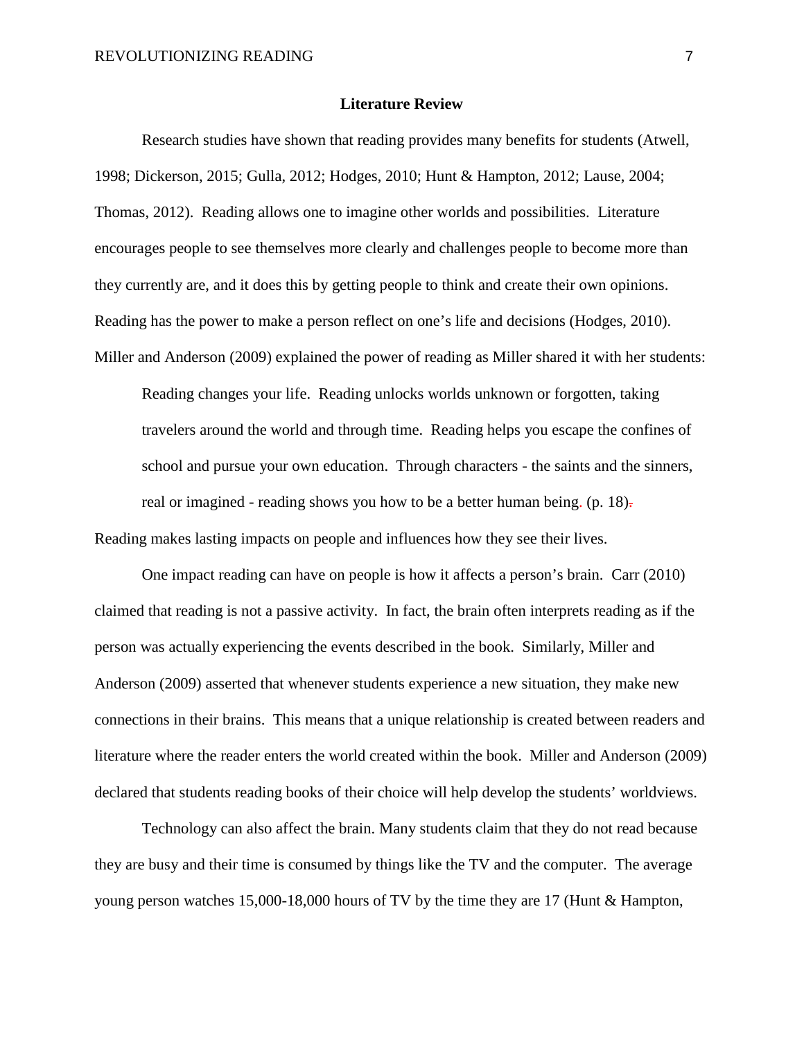#### **Literature Review**

Research studies have shown that reading provides many benefits for students (Atwell, 1998; Dickerson, 2015; Gulla, 2012; Hodges, 2010; Hunt & Hampton, 2012; Lause, 2004; Thomas, 2012). Reading allows one to imagine other worlds and possibilities. Literature encourages people to see themselves more clearly and challenges people to become more than they currently are, and it does this by getting people to think and create their own opinions. Reading has the power to make a person reflect on one's life and decisions (Hodges, 2010). Miller and Anderson (2009) explained the power of reading as Miller shared it with her students:

Reading changes your life. Reading unlocks worlds unknown or forgotten, taking travelers around the world and through time. Reading helps you escape the confines of school and pursue your own education. Through characters - the saints and the sinners, real or imagined - reading shows you how to be a better human being. (p. 18). Reading makes lasting impacts on people and influences how they see their lives.

One impact reading can have on people is how it affects a person's brain. Carr (2010) claimed that reading is not a passive activity. In fact, the brain often interprets reading as if the person was actually experiencing the events described in the book. Similarly, Miller and Anderson (2009) asserted that whenever students experience a new situation, they make new connections in their brains. This means that a unique relationship is created between readers and literature where the reader enters the world created within the book. Miller and Anderson (2009) declared that students reading books of their choice will help develop the students' worldviews.

Technology can also affect the brain. Many students claim that they do not read because they are busy and their time is consumed by things like the TV and the computer. The average young person watches 15,000-18,000 hours of TV by the time they are 17 (Hunt & Hampton,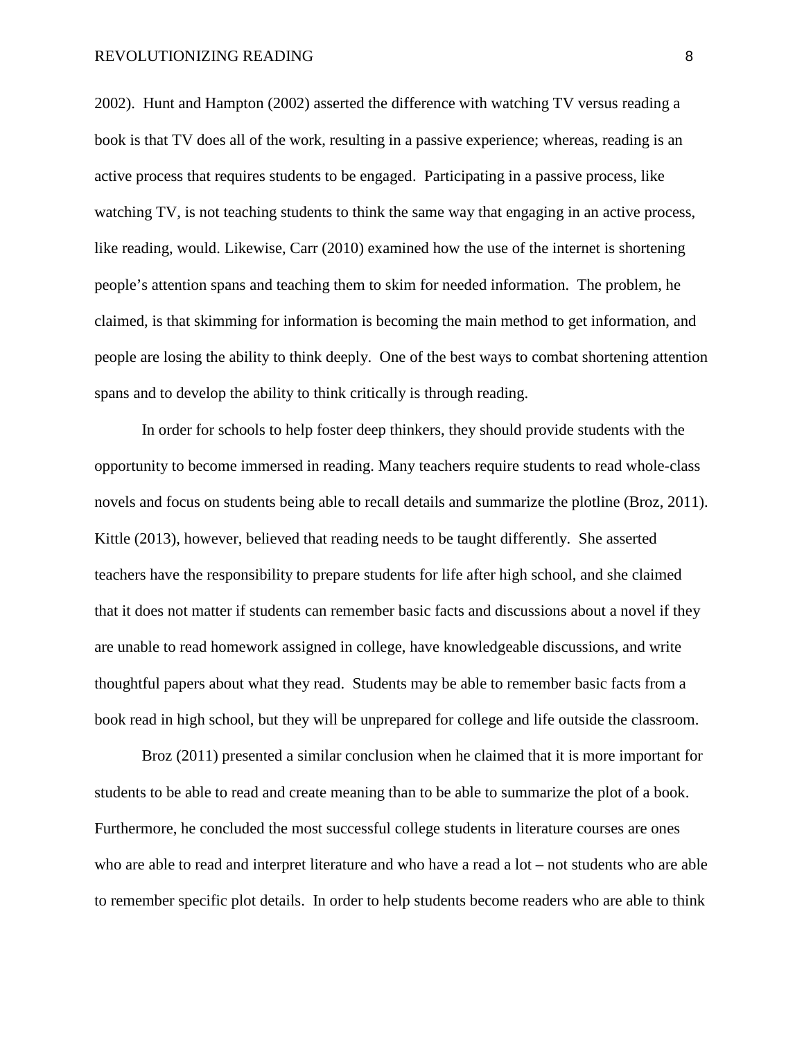#### REVOLUTIONIZING READING 8

2002). Hunt and Hampton (2002) asserted the difference with watching TV versus reading a book is that TV does all of the work, resulting in a passive experience; whereas, reading is an active process that requires students to be engaged. Participating in a passive process, like watching TV, is not teaching students to think the same way that engaging in an active process, like reading, would. Likewise, Carr (2010) examined how the use of the internet is shortening people's attention spans and teaching them to skim for needed information. The problem, he claimed, is that skimming for information is becoming the main method to get information, and people are losing the ability to think deeply. One of the best ways to combat shortening attention spans and to develop the ability to think critically is through reading.

In order for schools to help foster deep thinkers, they should provide students with the opportunity to become immersed in reading. Many teachers require students to read whole-class novels and focus on students being able to recall details and summarize the plotline (Broz, 2011). Kittle (2013), however, believed that reading needs to be taught differently. She asserted teachers have the responsibility to prepare students for life after high school, and she claimed that it does not matter if students can remember basic facts and discussions about a novel if they are unable to read homework assigned in college, have knowledgeable discussions, and write thoughtful papers about what they read. Students may be able to remember basic facts from a book read in high school, but they will be unprepared for college and life outside the classroom.

Broz (2011) presented a similar conclusion when he claimed that it is more important for students to be able to read and create meaning than to be able to summarize the plot of a book. Furthermore, he concluded the most successful college students in literature courses are ones who are able to read and interpret literature and who have a read a lot – not students who are able to remember specific plot details. In order to help students become readers who are able to think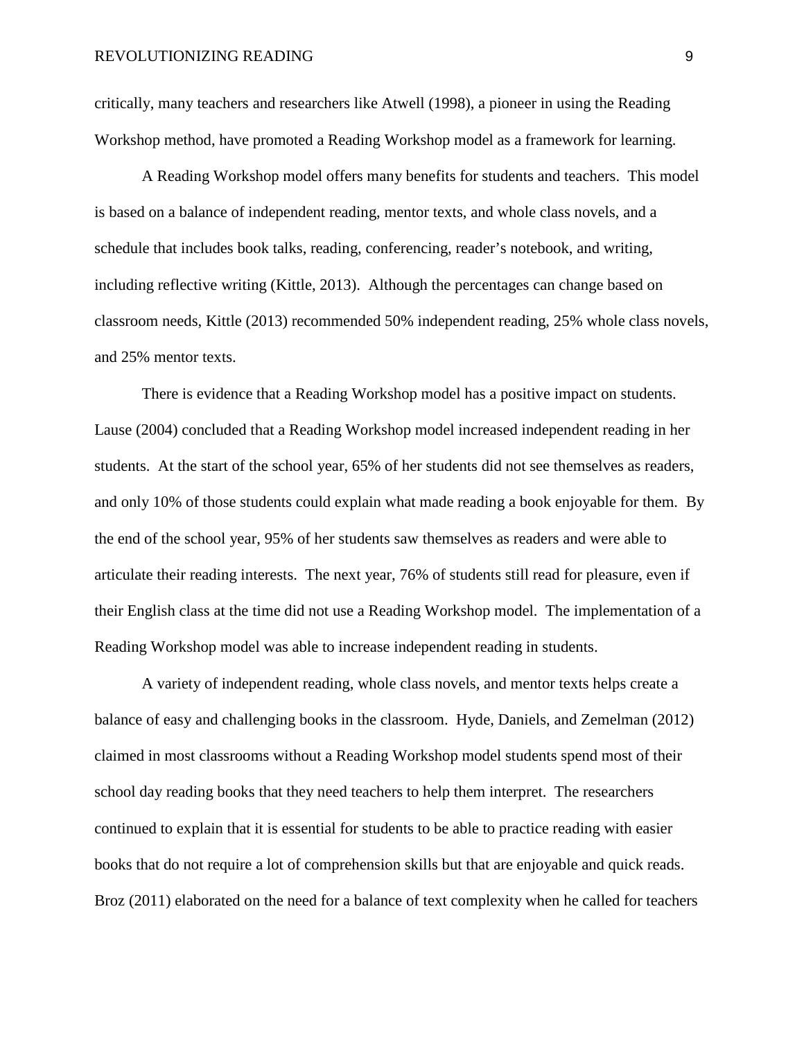critically, many teachers and researchers like Atwell (1998), a pioneer in using the Reading Workshop method, have promoted a Reading Workshop model as a framework for learning.

A Reading Workshop model offers many benefits for students and teachers. This model is based on a balance of independent reading, mentor texts, and whole class novels, and a schedule that includes book talks, reading, conferencing, reader's notebook, and writing, including reflective writing (Kittle, 2013). Although the percentages can change based on classroom needs, Kittle (2013) recommended 50% independent reading, 25% whole class novels, and 25% mentor texts.

There is evidence that a Reading Workshop model has a positive impact on students. Lause (2004) concluded that a Reading Workshop model increased independent reading in her students. At the start of the school year, 65% of her students did not see themselves as readers, and only 10% of those students could explain what made reading a book enjoyable for them. By the end of the school year, 95% of her students saw themselves as readers and were able to articulate their reading interests. The next year, 76% of students still read for pleasure, even if their English class at the time did not use a Reading Workshop model. The implementation of a Reading Workshop model was able to increase independent reading in students.

A variety of independent reading, whole class novels, and mentor texts helps create a balance of easy and challenging books in the classroom. Hyde, Daniels, and Zemelman (2012) claimed in most classrooms without a Reading Workshop model students spend most of their school day reading books that they need teachers to help them interpret. The researchers continued to explain that it is essential for students to be able to practice reading with easier books that do not require a lot of comprehension skills but that are enjoyable and quick reads. Broz (2011) elaborated on the need for a balance of text complexity when he called for teachers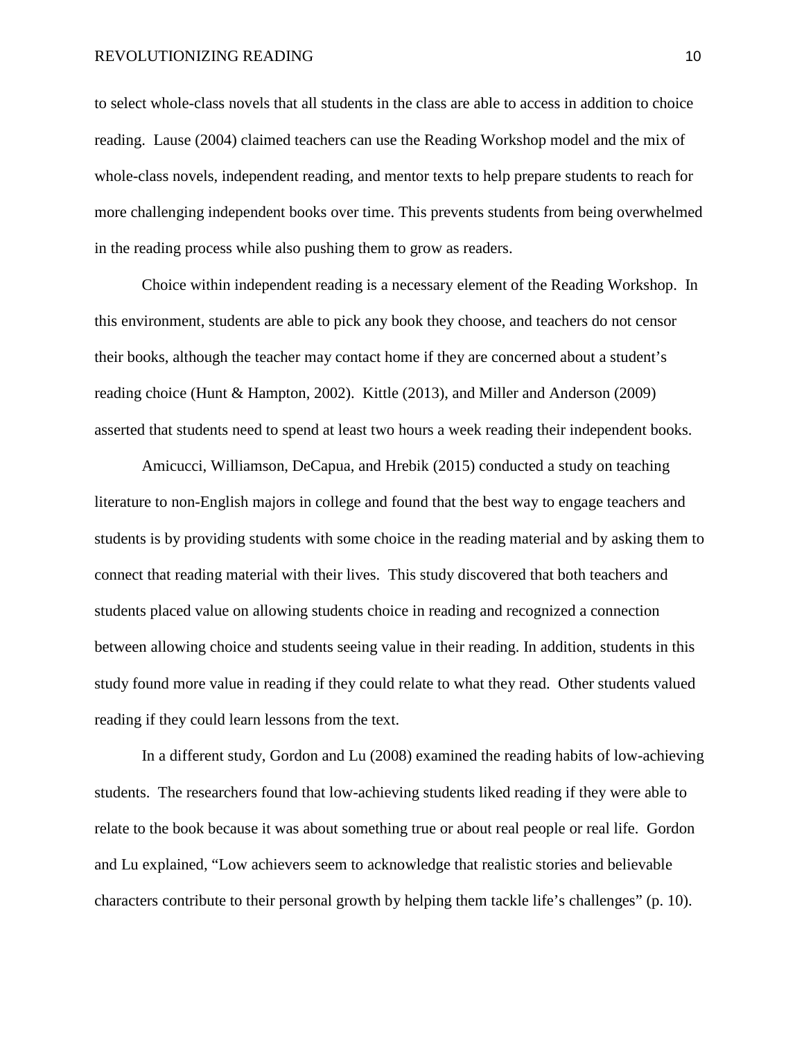#### REVOLUTIONIZING READING 10

to select whole-class novels that all students in the class are able to access in addition to choice reading. Lause (2004) claimed teachers can use the Reading Workshop model and the mix of whole-class novels, independent reading, and mentor texts to help prepare students to reach for more challenging independent books over time. This prevents students from being overwhelmed in the reading process while also pushing them to grow as readers.

Choice within independent reading is a necessary element of the Reading Workshop. In this environment, students are able to pick any book they choose, and teachers do not censor their books, although the teacher may contact home if they are concerned about a student's reading choice (Hunt & Hampton, 2002). Kittle (2013), and Miller and Anderson (2009) asserted that students need to spend at least two hours a week reading their independent books.

Amicucci, Williamson, DeCapua, and Hrebik (2015) conducted a study on teaching literature to non-English majors in college and found that the best way to engage teachers and students is by providing students with some choice in the reading material and by asking them to connect that reading material with their lives. This study discovered that both teachers and students placed value on allowing students choice in reading and recognized a connection between allowing choice and students seeing value in their reading. In addition, students in this study found more value in reading if they could relate to what they read. Other students valued reading if they could learn lessons from the text.

In a different study, Gordon and Lu (2008) examined the reading habits of low-achieving students. The researchers found that low-achieving students liked reading if they were able to relate to the book because it was about something true or about real people or real life. Gordon and Lu explained, "Low achievers seem to acknowledge that realistic stories and believable characters contribute to their personal growth by helping them tackle life's challenges" (p. 10).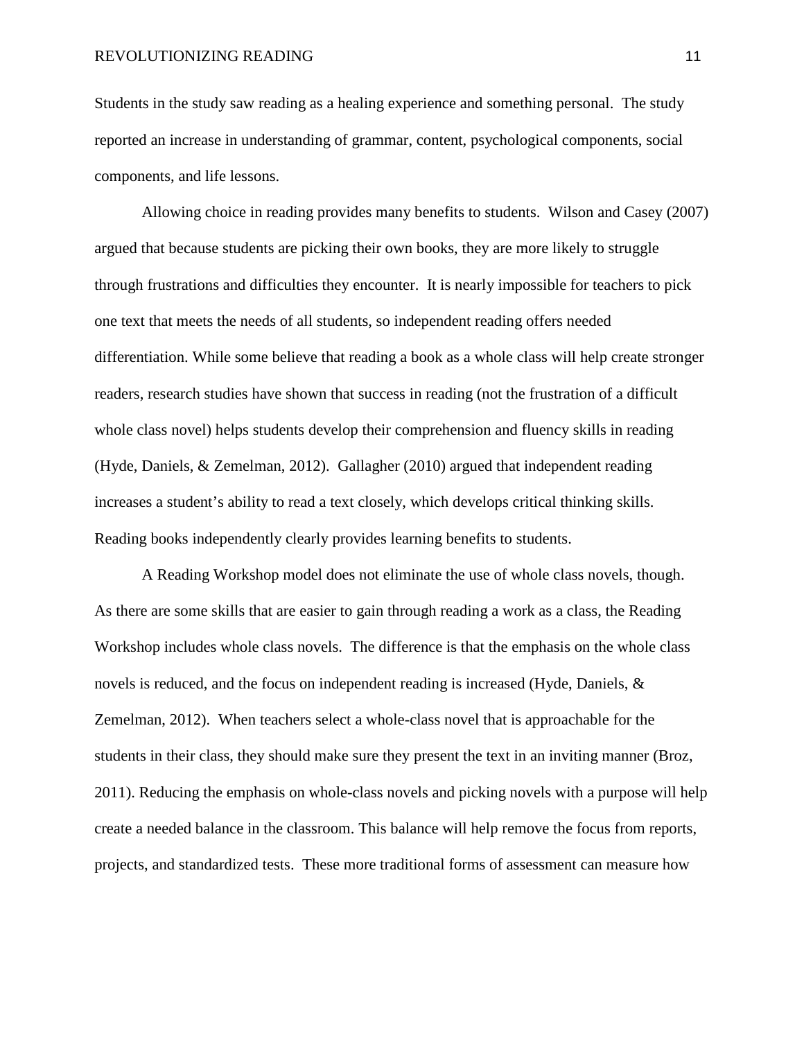Students in the study saw reading as a healing experience and something personal. The study reported an increase in understanding of grammar, content, psychological components, social components, and life lessons.

Allowing choice in reading provides many benefits to students. Wilson and Casey (2007) argued that because students are picking their own books, they are more likely to struggle through frustrations and difficulties they encounter. It is nearly impossible for teachers to pick one text that meets the needs of all students, so independent reading offers needed differentiation. While some believe that reading a book as a whole class will help create stronger readers, research studies have shown that success in reading (not the frustration of a difficult whole class novel) helps students develop their comprehension and fluency skills in reading (Hyde, Daniels, & Zemelman, 2012). Gallagher (2010) argued that independent reading increases a student's ability to read a text closely, which develops critical thinking skills. Reading books independently clearly provides learning benefits to students.

A Reading Workshop model does not eliminate the use of whole class novels, though. As there are some skills that are easier to gain through reading a work as a class, the Reading Workshop includes whole class novels. The difference is that the emphasis on the whole class novels is reduced, and the focus on independent reading is increased (Hyde, Daniels, & Zemelman, 2012).When teachers select a whole-class novel that is approachable for the students in their class, they should make sure they present the text in an inviting manner (Broz, 2011). Reducing the emphasis on whole-class novels and picking novels with a purpose will help create a needed balance in the classroom. This balance will help remove the focus from reports, projects, and standardized tests. These more traditional forms of assessment can measure how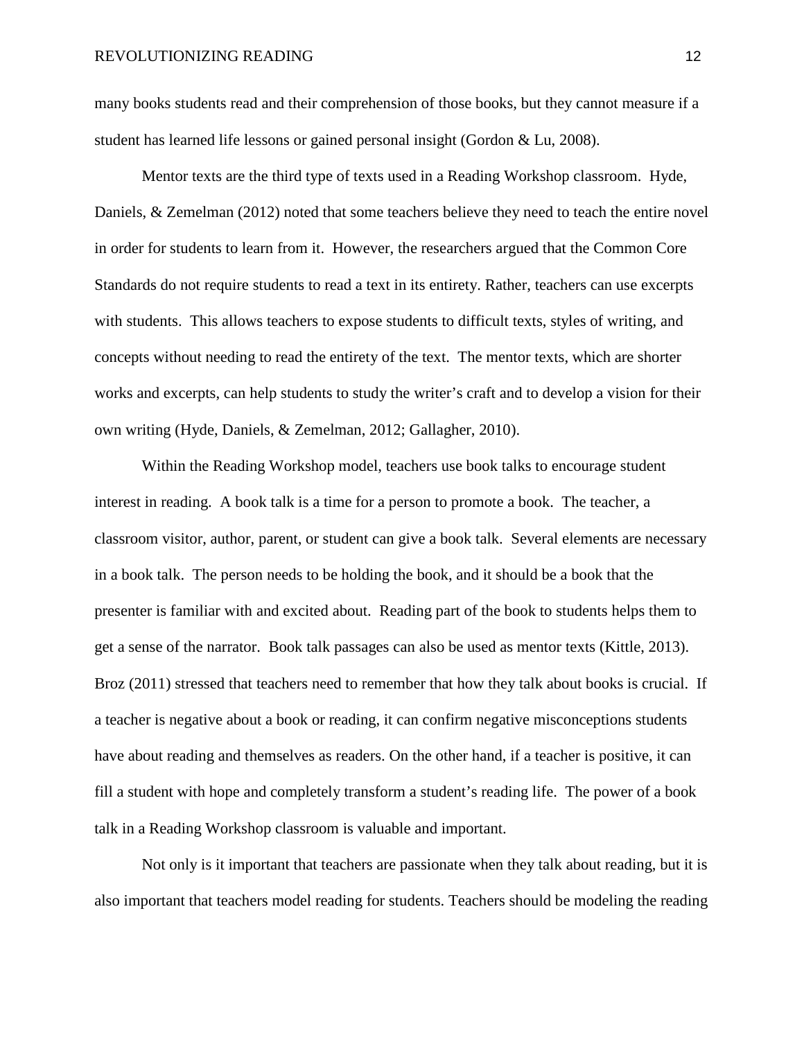many books students read and their comprehension of those books, but they cannot measure if a student has learned life lessons or gained personal insight (Gordon & Lu, 2008).

Mentor texts are the third type of texts used in a Reading Workshop classroom. Hyde, Daniels, & Zemelman (2012) noted that some teachers believe they need to teach the entire novel in order for students to learn from it. However, the researchers argued that the Common Core Standards do not require students to read a text in its entirety. Rather, teachers can use excerpts with students. This allows teachers to expose students to difficult texts, styles of writing, and concepts without needing to read the entirety of the text. The mentor texts, which are shorter works and excerpts, can help students to study the writer's craft and to develop a vision for their own writing (Hyde, Daniels, & Zemelman, 2012; Gallagher, 2010).

Within the Reading Workshop model, teachers use book talks to encourage student interest in reading. A book talk is a time for a person to promote a book. The teacher, a classroom visitor, author, parent, or student can give a book talk. Several elements are necessary in a book talk. The person needs to be holding the book, and it should be a book that the presenter is familiar with and excited about. Reading part of the book to students helps them to get a sense of the narrator. Book talk passages can also be used as mentor texts (Kittle, 2013). Broz (2011) stressed that teachers need to remember that how they talk about books is crucial. If a teacher is negative about a book or reading, it can confirm negative misconceptions students have about reading and themselves as readers. On the other hand, if a teacher is positive, it can fill a student with hope and completely transform a student's reading life. The power of a book talk in a Reading Workshop classroom is valuable and important.

Not only is it important that teachers are passionate when they talk about reading, but it is also important that teachers model reading for students. Teachers should be modeling the reading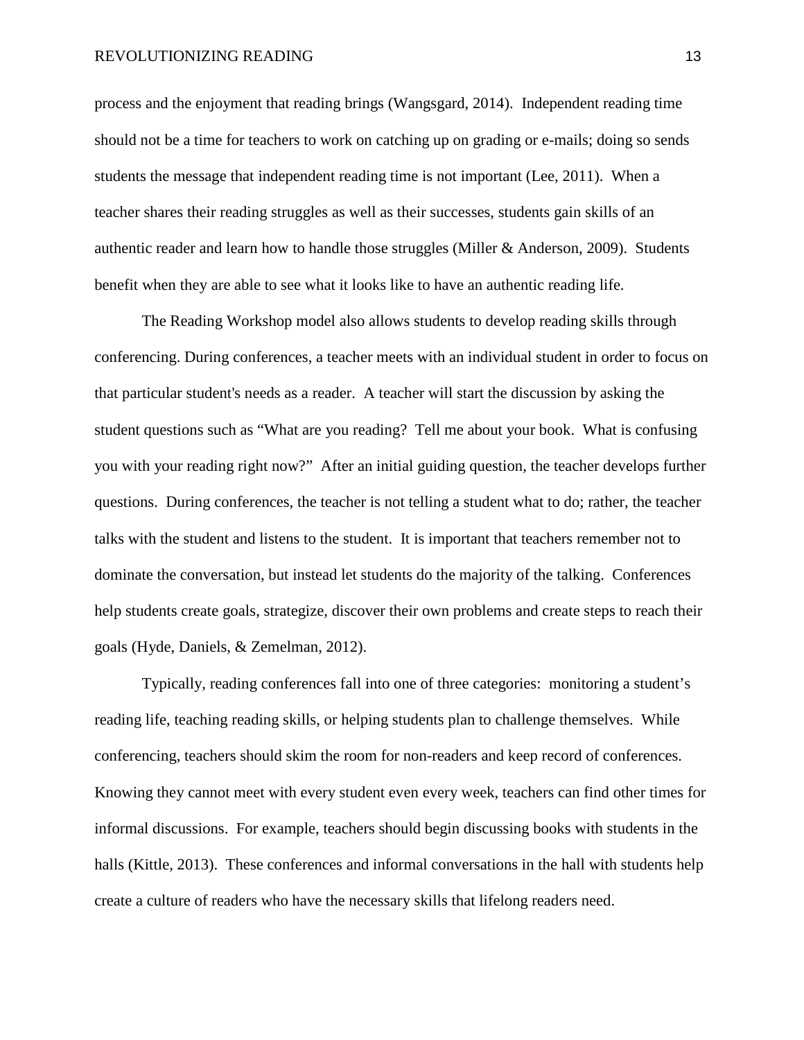#### REVOLUTIONIZING READING 13

process and the enjoyment that reading brings (Wangsgard, 2014). Independent reading time should not be a time for teachers to work on catching up on grading or e-mails; doing so sends students the message that independent reading time is not important (Lee, 2011). When a teacher shares their reading struggles as well as their successes, students gain skills of an authentic reader and learn how to handle those struggles (Miller & Anderson, 2009). Students benefit when they are able to see what it looks like to have an authentic reading life.

The Reading Workshop model also allows students to develop reading skills through conferencing. During conferences, a teacher meets with an individual student in order to focus on that particular student's needs as a reader. A teacher will start the discussion by asking the student questions such as "What are you reading? Tell me about your book. What is confusing you with your reading right now?" After an initial guiding question, the teacher develops further questions. During conferences, the teacher is not telling a student what to do; rather, the teacher talks with the student and listens to the student. It is important that teachers remember not to dominate the conversation, but instead let students do the majority of the talking. Conferences help students create goals, strategize, discover their own problems and create steps to reach their goals (Hyde, Daniels, & Zemelman, 2012).

Typically, reading conferences fall into one of three categories: monitoring a student's reading life, teaching reading skills, or helping students plan to challenge themselves. While conferencing, teachers should skim the room for non-readers and keep record of conferences. Knowing they cannot meet with every student even every week, teachers can find other times for informal discussions. For example, teachers should begin discussing books with students in the halls (Kittle, 2013). These conferences and informal conversations in the hall with students help create a culture of readers who have the necessary skills that lifelong readers need.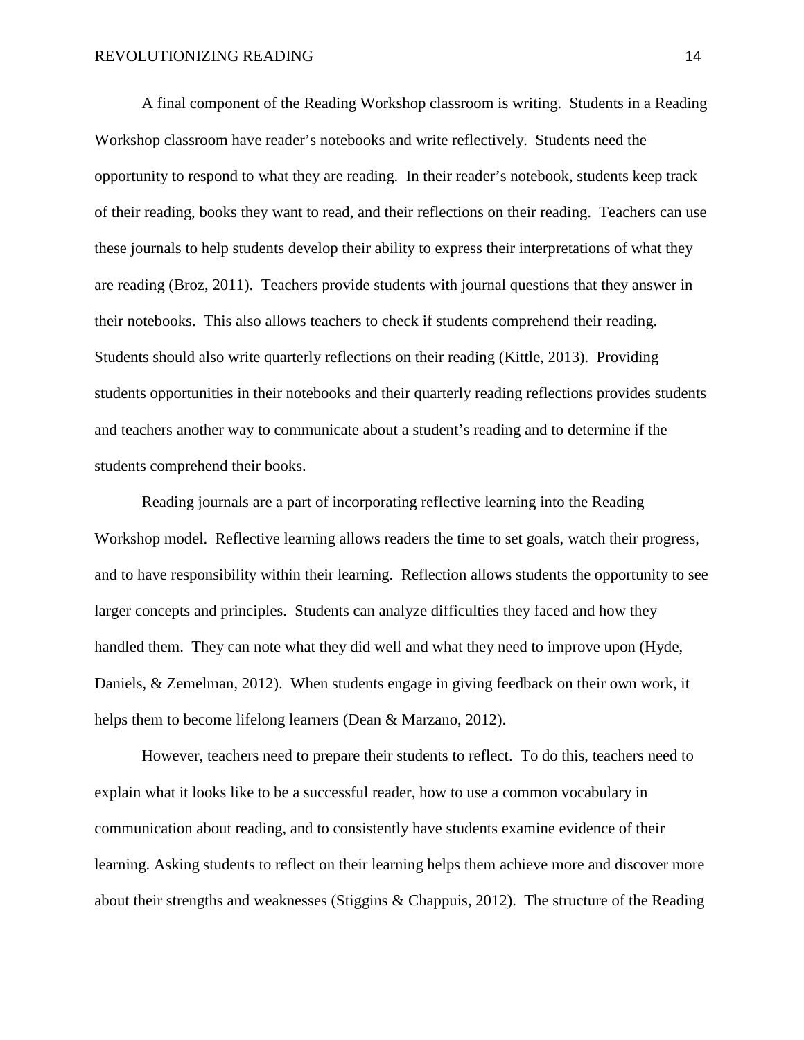A final component of the Reading Workshop classroom is writing. Students in a Reading Workshop classroom have reader's notebooks and write reflectively. Students need the opportunity to respond to what they are reading. In their reader's notebook, students keep track of their reading, books they want to read, and their reflections on their reading. Teachers can use these journals to help students develop their ability to express their interpretations of what they are reading (Broz, 2011). Teachers provide students with journal questions that they answer in their notebooks. This also allows teachers to check if students comprehend their reading. Students should also write quarterly reflections on their reading (Kittle, 2013). Providing students opportunities in their notebooks and their quarterly reading reflections provides students and teachers another way to communicate about a student's reading and to determine if the students comprehend their books.

Reading journals are a part of incorporating reflective learning into the Reading Workshop model. Reflective learning allows readers the time to set goals, watch their progress, and to have responsibility within their learning. Reflection allows students the opportunity to see larger concepts and principles. Students can analyze difficulties they faced and how they handled them. They can note what they did well and what they need to improve upon (Hyde, Daniels, & Zemelman, 2012). When students engage in giving feedback on their own work, it helps them to become lifelong learners (Dean & Marzano, 2012).

However, teachers need to prepare their students to reflect. To do this, teachers need to explain what it looks like to be a successful reader, how to use a common vocabulary in communication about reading, and to consistently have students examine evidence of their learning. Asking students to reflect on their learning helps them achieve more and discover more about their strengths and weaknesses (Stiggins & Chappuis, 2012). The structure of the Reading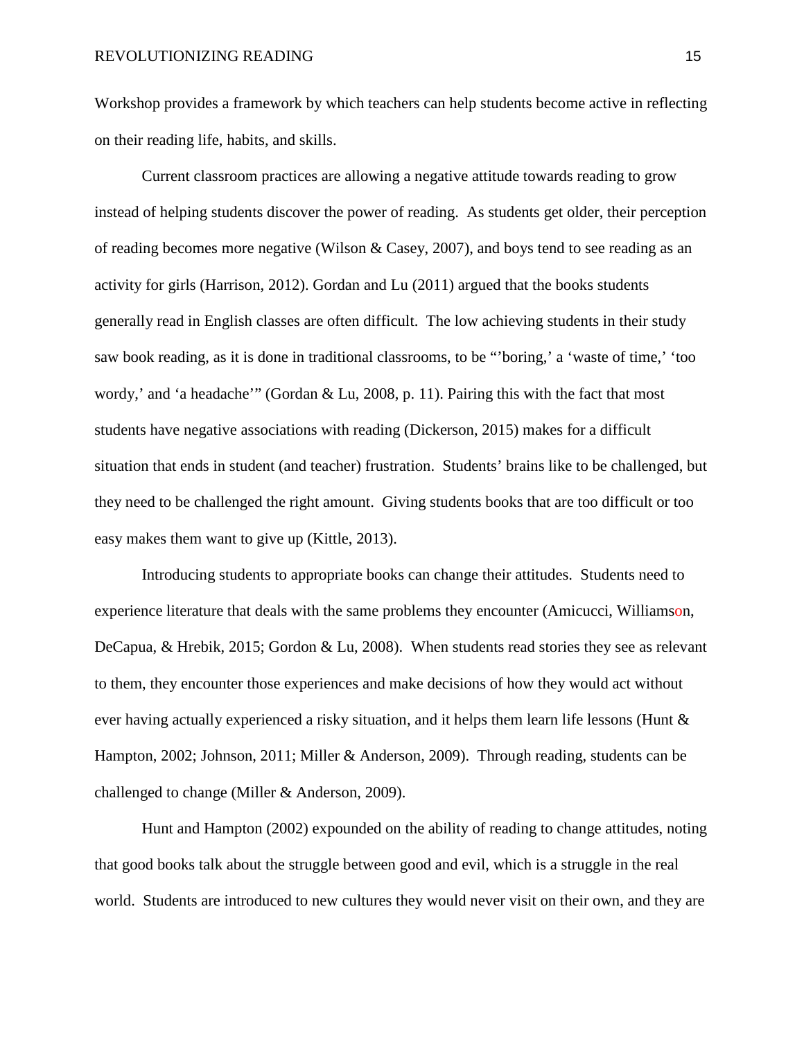Workshop provides a framework by which teachers can help students become active in reflecting on their reading life, habits, and skills.

Current classroom practices are allowing a negative attitude towards reading to grow instead of helping students discover the power of reading. As students get older, their perception of reading becomes more negative (Wilson & Casey, 2007), and boys tend to see reading as an activity for girls (Harrison, 2012). Gordan and Lu (2011) argued that the books students generally read in English classes are often difficult. The low achieving students in their study saw book reading, as it is done in traditional classrooms, to be "'boring,' a 'waste of time,' 'too wordy,' and 'a headache'" (Gordan & Lu, 2008, p. 11). Pairing this with the fact that most students have negative associations with reading (Dickerson, 2015) makes for a difficult situation that ends in student (and teacher) frustration. Students' brains like to be challenged, but they need to be challenged the right amount. Giving students books that are too difficult or too easy makes them want to give up (Kittle, 2013).

Introducing students to appropriate books can change their attitudes. Students need to experience literature that deals with the same problems they encounter (Amicucci, Williamson, DeCapua, & Hrebik, 2015; Gordon & Lu, 2008). When students read stories they see as relevant to them, they encounter those experiences and make decisions of how they would act without ever having actually experienced a risky situation, and it helps them learn life lessons (Hunt & Hampton, 2002; Johnson, 2011; Miller & Anderson, 2009). Through reading, students can be challenged to change (Miller & Anderson, 2009).

Hunt and Hampton (2002) expounded on the ability of reading to change attitudes, noting that good books talk about the struggle between good and evil, which is a struggle in the real world. Students are introduced to new cultures they would never visit on their own, and they are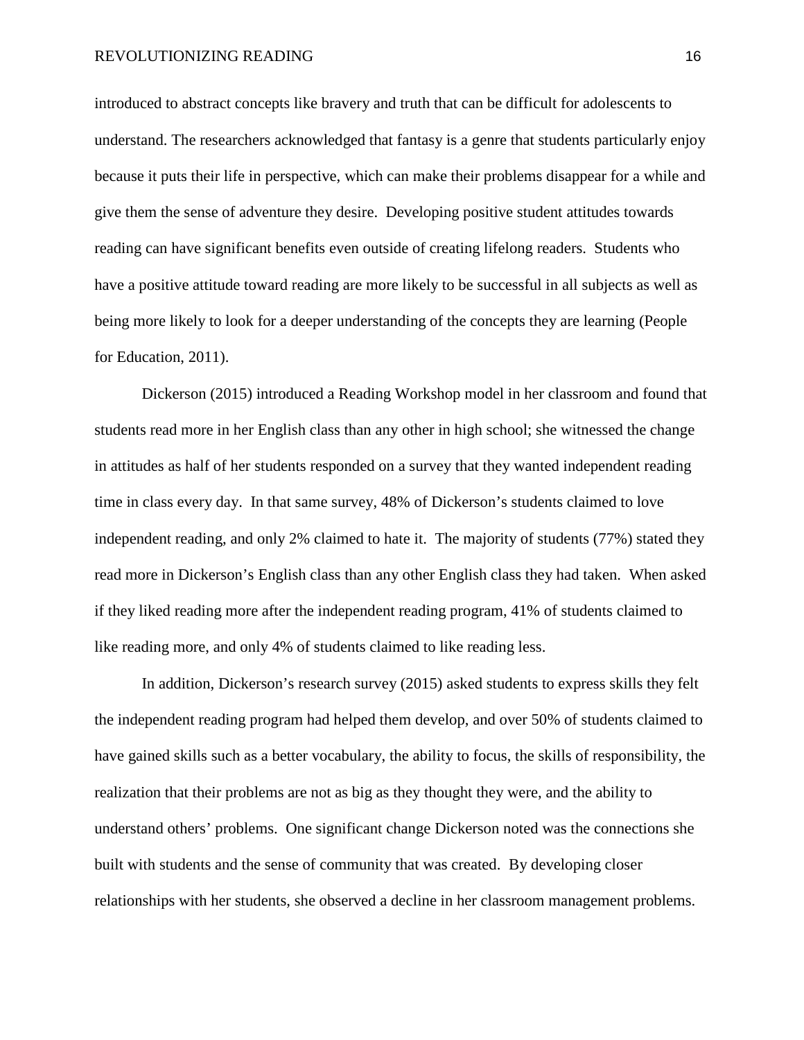#### REVOLUTIONIZING READING 16

introduced to abstract concepts like bravery and truth that can be difficult for adolescents to understand. The researchers acknowledged that fantasy is a genre that students particularly enjoy because it puts their life in perspective, which can make their problems disappear for a while and give them the sense of adventure they desire. Developing positive student attitudes towards reading can have significant benefits even outside of creating lifelong readers. Students who have a positive attitude toward reading are more likely to be successful in all subjects as well as being more likely to look for a deeper understanding of the concepts they are learning (People for Education, 2011).

Dickerson (2015) introduced a Reading Workshop model in her classroom and found that students read more in her English class than any other in high school; she witnessed the change in attitudes as half of her students responded on a survey that they wanted independent reading time in class every day. In that same survey, 48% of Dickerson's students claimed to love independent reading, and only 2% claimed to hate it. The majority of students (77%) stated they read more in Dickerson's English class than any other English class they had taken. When asked if they liked reading more after the independent reading program, 41% of students claimed to like reading more, and only 4% of students claimed to like reading less.

In addition, Dickerson's research survey (2015) asked students to express skills they felt the independent reading program had helped them develop, and over 50% of students claimed to have gained skills such as a better vocabulary, the ability to focus, the skills of responsibility, the realization that their problems are not as big as they thought they were, and the ability to understand others' problems. One significant change Dickerson noted was the connections she built with students and the sense of community that was created. By developing closer relationships with her students, she observed a decline in her classroom management problems.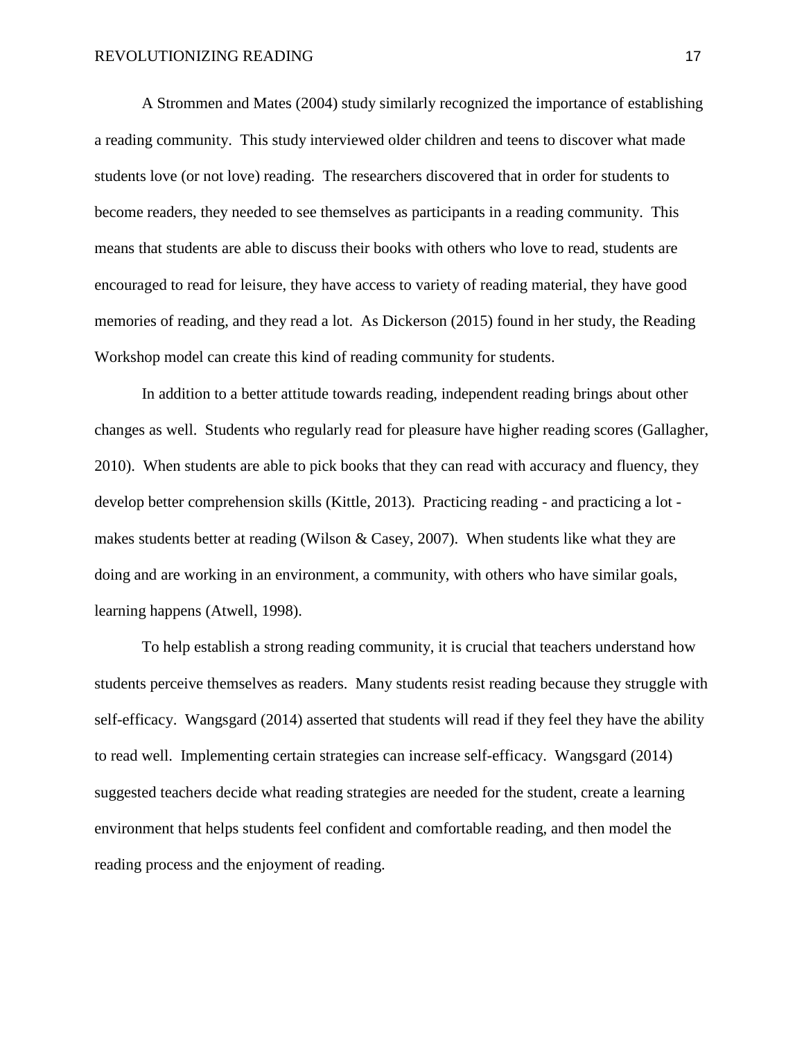A Strommen and Mates (2004) study similarly recognized the importance of establishing a reading community. This study interviewed older children and teens to discover what made students love (or not love) reading. The researchers discovered that in order for students to become readers, they needed to see themselves as participants in a reading community. This means that students are able to discuss their books with others who love to read, students are encouraged to read for leisure, they have access to variety of reading material, they have good memories of reading, and they read a lot. As Dickerson (2015) found in her study, the Reading Workshop model can create this kind of reading community for students.

In addition to a better attitude towards reading, independent reading brings about other changes as well. Students who regularly read for pleasure have higher reading scores (Gallagher, 2010). When students are able to pick books that they can read with accuracy and fluency, they develop better comprehension skills (Kittle, 2013). Practicing reading - and practicing a lot makes students better at reading (Wilson & Casey, 2007). When students like what they are doing and are working in an environment, a community, with others who have similar goals, learning happens (Atwell, 1998).

To help establish a strong reading community, it is crucial that teachers understand how students perceive themselves as readers. Many students resist reading because they struggle with self-efficacy. Wangsgard (2014) asserted that students will read if they feel they have the ability to read well. Implementing certain strategies can increase self-efficacy. Wangsgard (2014) suggested teachers decide what reading strategies are needed for the student, create a learning environment that helps students feel confident and comfortable reading, and then model the reading process and the enjoyment of reading.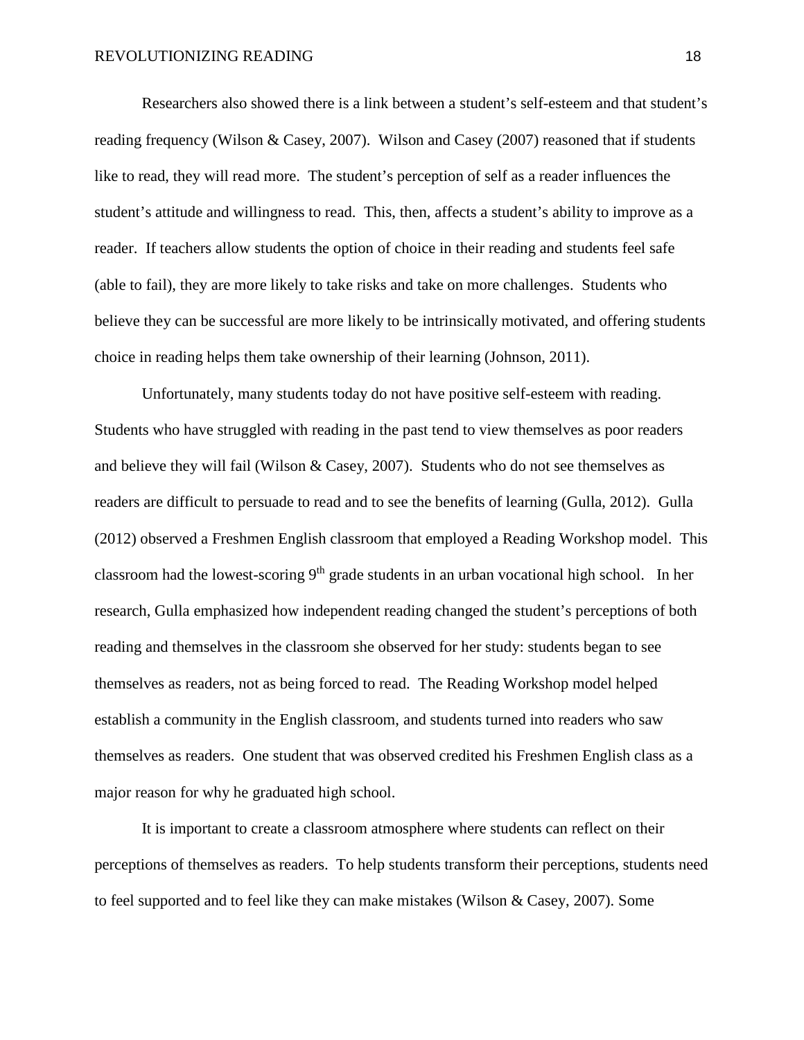Researchers also showed there is a link between a student's self-esteem and that student's reading frequency (Wilson & Casey, 2007). Wilson and Casey (2007) reasoned that if students like to read, they will read more. The student's perception of self as a reader influences the student's attitude and willingness to read. This, then, affects a student's ability to improve as a reader. If teachers allow students the option of choice in their reading and students feel safe (able to fail), they are more likely to take risks and take on more challenges. Students who believe they can be successful are more likely to be intrinsically motivated, and offering students choice in reading helps them take ownership of their learning (Johnson, 2011).

Unfortunately, many students today do not have positive self-esteem with reading. Students who have struggled with reading in the past tend to view themselves as poor readers and believe they will fail (Wilson & Casey, 2007). Students who do not see themselves as readers are difficult to persuade to read and to see the benefits of learning (Gulla, 2012). Gulla (2012) observed a Freshmen English classroom that employed a Reading Workshop model. This classroom had the lowest-scoring  $9<sup>th</sup>$  grade students in an urban vocational high school. In her research, Gulla emphasized how independent reading changed the student's perceptions of both reading and themselves in the classroom she observed for her study: students began to see themselves as readers, not as being forced to read. The Reading Workshop model helped establish a community in the English classroom, and students turned into readers who saw themselves as readers. One student that was observed credited his Freshmen English class as a major reason for why he graduated high school.

It is important to create a classroom atmosphere where students can reflect on their perceptions of themselves as readers. To help students transform their perceptions, students need to feel supported and to feel like they can make mistakes (Wilson & Casey, 2007). Some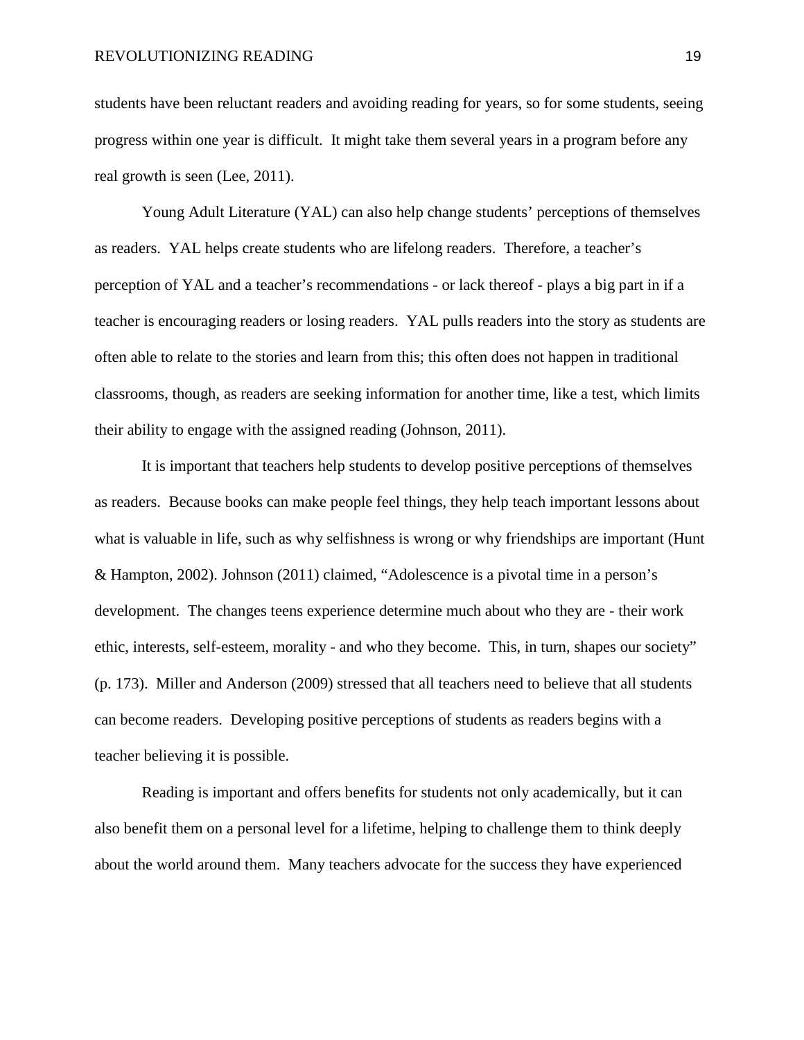students have been reluctant readers and avoiding reading for years, so for some students, seeing progress within one year is difficult. It might take them several years in a program before any real growth is seen (Lee, 2011).

Young Adult Literature (YAL) can also help change students' perceptions of themselves as readers. YAL helps create students who are lifelong readers. Therefore, a teacher's perception of YAL and a teacher's recommendations - or lack thereof - plays a big part in if a teacher is encouraging readers or losing readers. YAL pulls readers into the story as students are often able to relate to the stories and learn from this; this often does not happen in traditional classrooms, though, as readers are seeking information for another time, like a test, which limits their ability to engage with the assigned reading (Johnson, 2011).

It is important that teachers help students to develop positive perceptions of themselves as readers. Because books can make people feel things, they help teach important lessons about what is valuable in life, such as why selfishness is wrong or why friendships are important (Hunt & Hampton, 2002). Johnson (2011) claimed, "Adolescence is a pivotal time in a person's development. The changes teens experience determine much about who they are - their work ethic, interests, self-esteem, morality - and who they become. This, in turn, shapes our society" (p. 173). Miller and Anderson (2009) stressed that all teachers need to believe that all students can become readers. Developing positive perceptions of students as readers begins with a teacher believing it is possible.

Reading is important and offers benefits for students not only academically, but it can also benefit them on a personal level for a lifetime, helping to challenge them to think deeply about the world around them. Many teachers advocate for the success they have experienced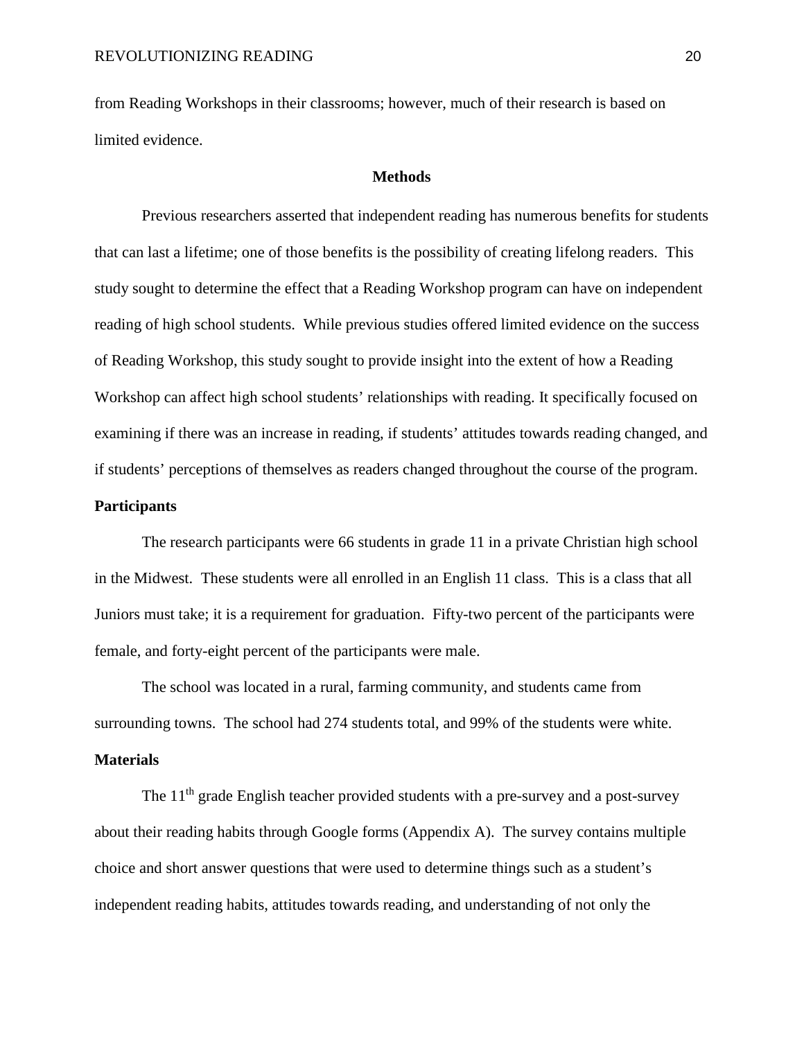from Reading Workshops in their classrooms; however, much of their research is based on limited evidence.

#### **Methods**

 Previous researchers asserted that independent reading has numerous benefits for students that can last a lifetime; one of those benefits is the possibility of creating lifelong readers. This study sought to determine the effect that a Reading Workshop program can have on independent reading of high school students. While previous studies offered limited evidence on the success of Reading Workshop, this study sought to provide insight into the extent of how a Reading Workshop can affect high school students' relationships with reading. It specifically focused on examining if there was an increase in reading, if students' attitudes towards reading changed, and if students' perceptions of themselves as readers changed throughout the course of the program.

# **Participants**

The research participants were 66 students in grade 11 in a private Christian high school in the Midwest. These students were all enrolled in an English 11 class. This is a class that all Juniors must take; it is a requirement for graduation. Fifty-two percent of the participants were female, and forty-eight percent of the participants were male.

The school was located in a rural, farming community, and students came from surrounding towns. The school had 274 students total, and 99% of the students were white.

# **Materials**

The  $11<sup>th</sup>$  grade English teacher provided students with a pre-survey and a post-survey about their reading habits through Google forms (Appendix A). The survey contains multiple choice and short answer questions that were used to determine things such as a student's independent reading habits, attitudes towards reading, and understanding of not only the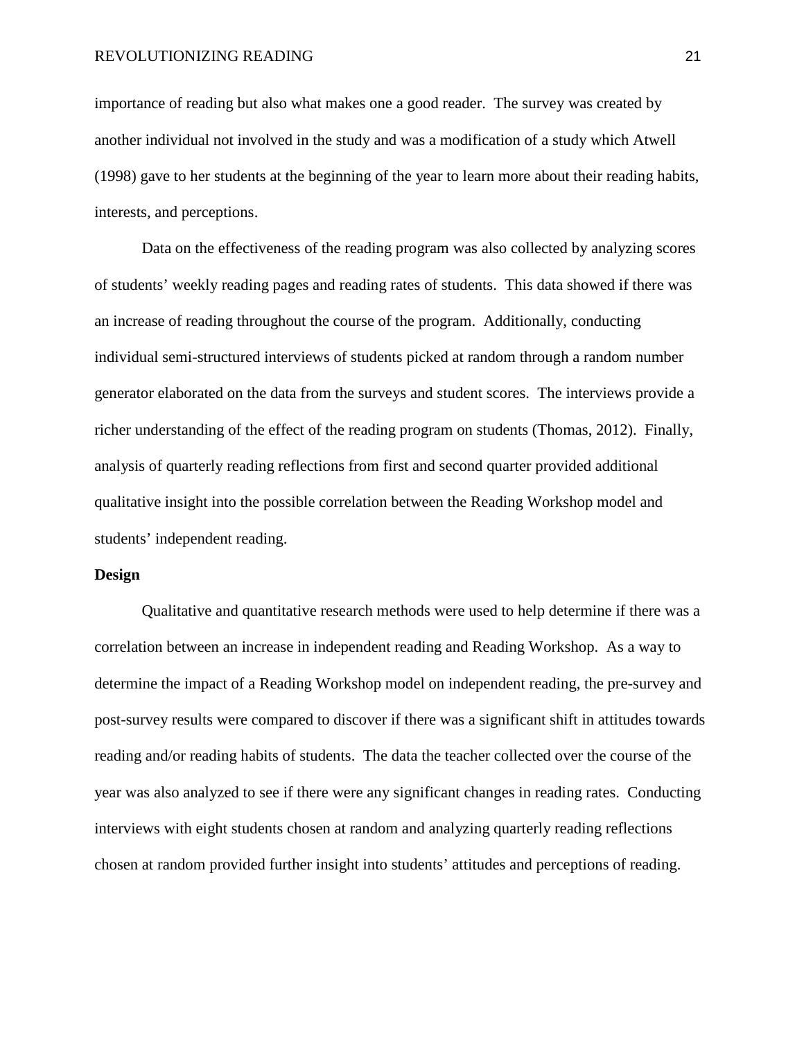importance of reading but also what makes one a good reader. The survey was created by another individual not involved in the study and was a modification of a study which Atwell (1998) gave to her students at the beginning of the year to learn more about their reading habits, interests, and perceptions.

Data on the effectiveness of the reading program was also collected by analyzing scores of students' weekly reading pages and reading rates of students. This data showed if there was an increase of reading throughout the course of the program. Additionally, conducting individual semi-structured interviews of students picked at random through a random number generator elaborated on the data from the surveys and student scores. The interviews provide a richer understanding of the effect of the reading program on students (Thomas, 2012). Finally, analysis of quarterly reading reflections from first and second quarter provided additional qualitative insight into the possible correlation between the Reading Workshop model and students' independent reading.

#### **Design**

Qualitative and quantitative research methods were used to help determine if there was a correlation between an increase in independent reading and Reading Workshop. As a way to determine the impact of a Reading Workshop model on independent reading, the pre-survey and post-survey results were compared to discover if there was a significant shift in attitudes towards reading and/or reading habits of students. The data the teacher collected over the course of the year was also analyzed to see if there were any significant changes in reading rates. Conducting interviews with eight students chosen at random and analyzing quarterly reading reflections chosen at random provided further insight into students' attitudes and perceptions of reading.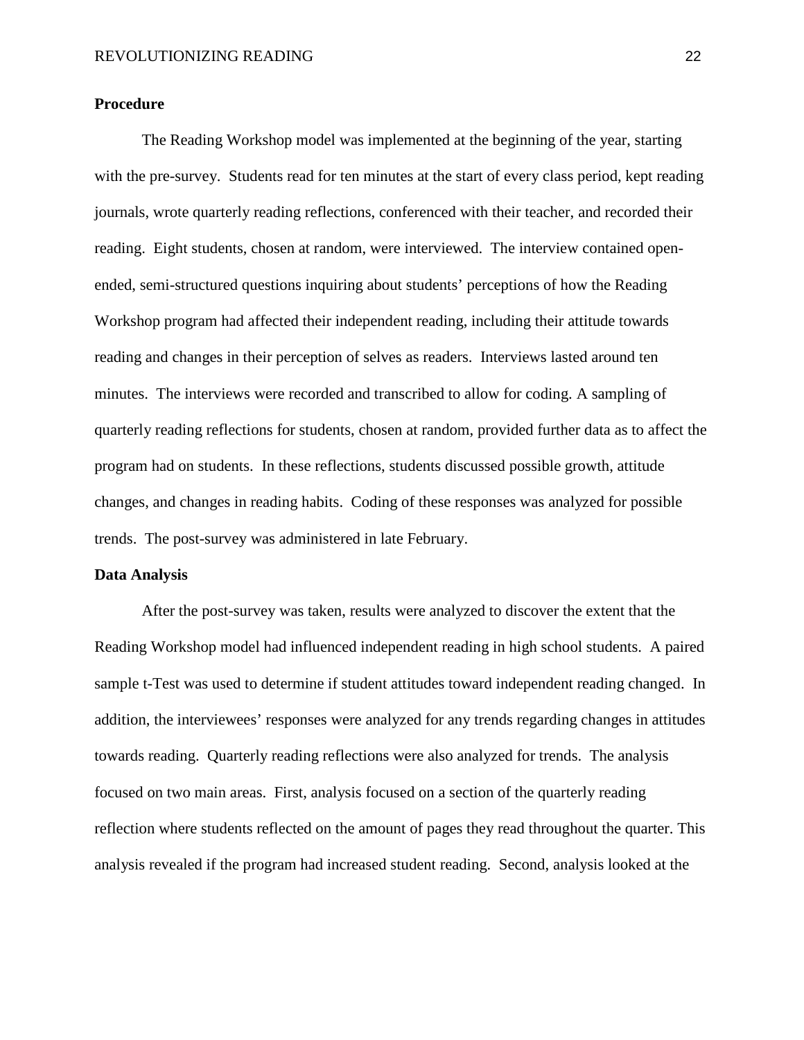### **Procedure**

The Reading Workshop model was implemented at the beginning of the year, starting with the pre-survey. Students read for ten minutes at the start of every class period, kept reading journals, wrote quarterly reading reflections, conferenced with their teacher, and recorded their reading. Eight students, chosen at random, were interviewed. The interview contained openended, semi-structured questions inquiring about students' perceptions of how the Reading Workshop program had affected their independent reading, including their attitude towards reading and changes in their perception of selves as readers. Interviews lasted around ten minutes. The interviews were recorded and transcribed to allow for coding. A sampling of quarterly reading reflections for students, chosen at random, provided further data as to affect the program had on students. In these reflections, students discussed possible growth, attitude changes, and changes in reading habits. Coding of these responses was analyzed for possible trends. The post-survey was administered in late February.

#### **Data Analysis**

 After the post-survey was taken, results were analyzed to discover the extent that the Reading Workshop model had influenced independent reading in high school students. A paired sample t-Test was used to determine if student attitudes toward independent reading changed. In addition, the interviewees' responses were analyzed for any trends regarding changes in attitudes towards reading. Quarterly reading reflections were also analyzed for trends. The analysis focused on two main areas. First, analysis focused on a section of the quarterly reading reflection where students reflected on the amount of pages they read throughout the quarter. This analysis revealed if the program had increased student reading. Second, analysis looked at the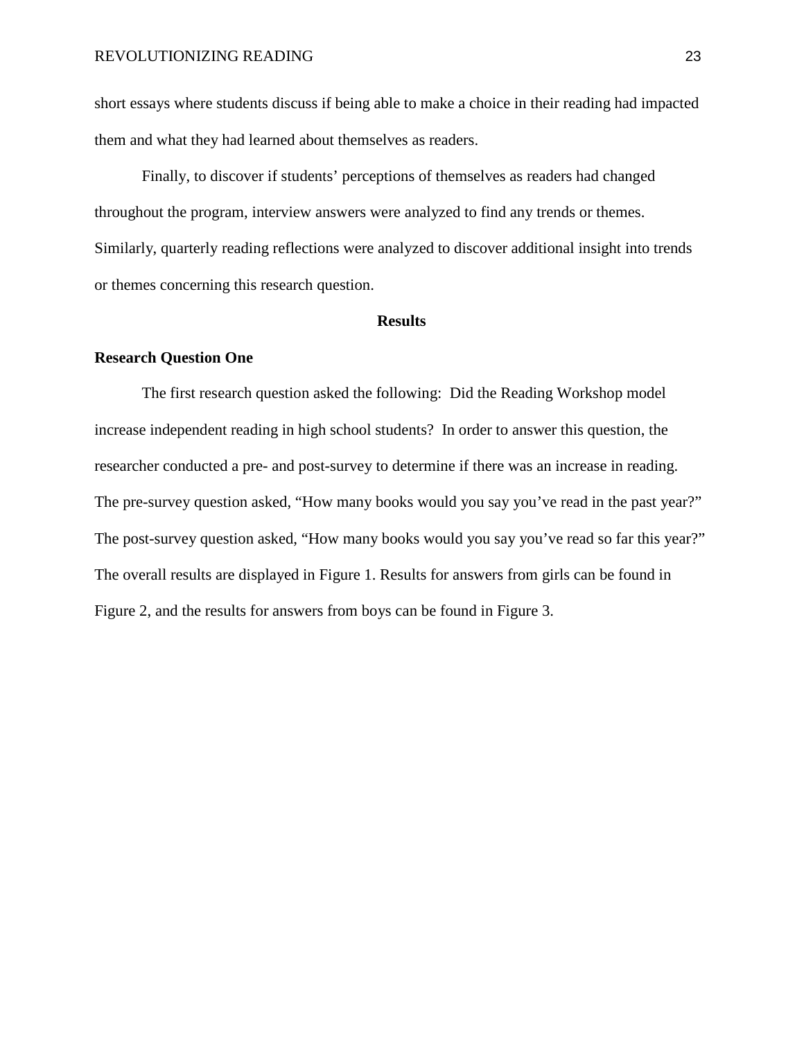short essays where students discuss if being able to make a choice in their reading had impacted them and what they had learned about themselves as readers.

Finally, to discover if students' perceptions of themselves as readers had changed throughout the program, interview answers were analyzed to find any trends or themes. Similarly, quarterly reading reflections were analyzed to discover additional insight into trends or themes concerning this research question.

#### **Results**

#### **Research Question One**

The first research question asked the following: Did the Reading Workshop model increase independent reading in high school students? In order to answer this question, the researcher conducted a pre- and post-survey to determine if there was an increase in reading. The pre-survey question asked, "How many books would you say you've read in the past year?" The post-survey question asked, "How many books would you say you've read so far this year?" The overall results are displayed in Figure 1. Results for answers from girls can be found in Figure 2, and the results for answers from boys can be found in Figure 3.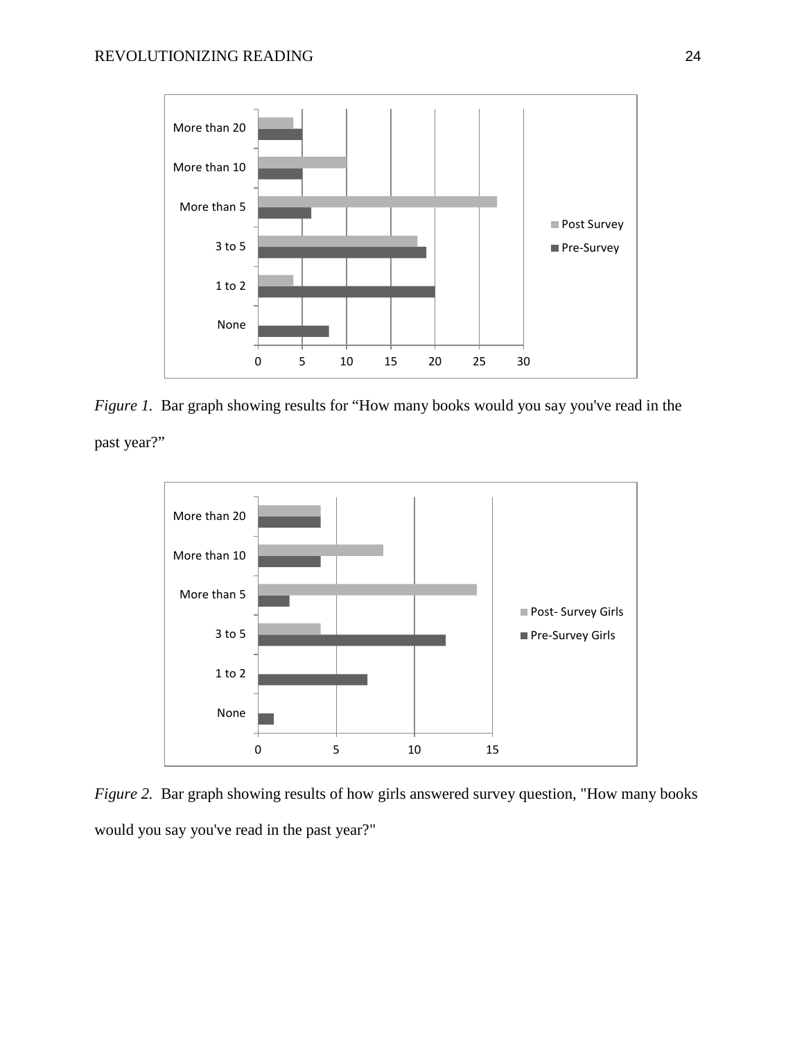

<span id="page-32-0"></span>*Figure 1.* Bar graph showing results for "How many books would you say you've read in the past year?"



<span id="page-32-1"></span>*Figure 2.* Bar graph showing results of how girls answered survey question, "How many books would you say you've read in the past year?"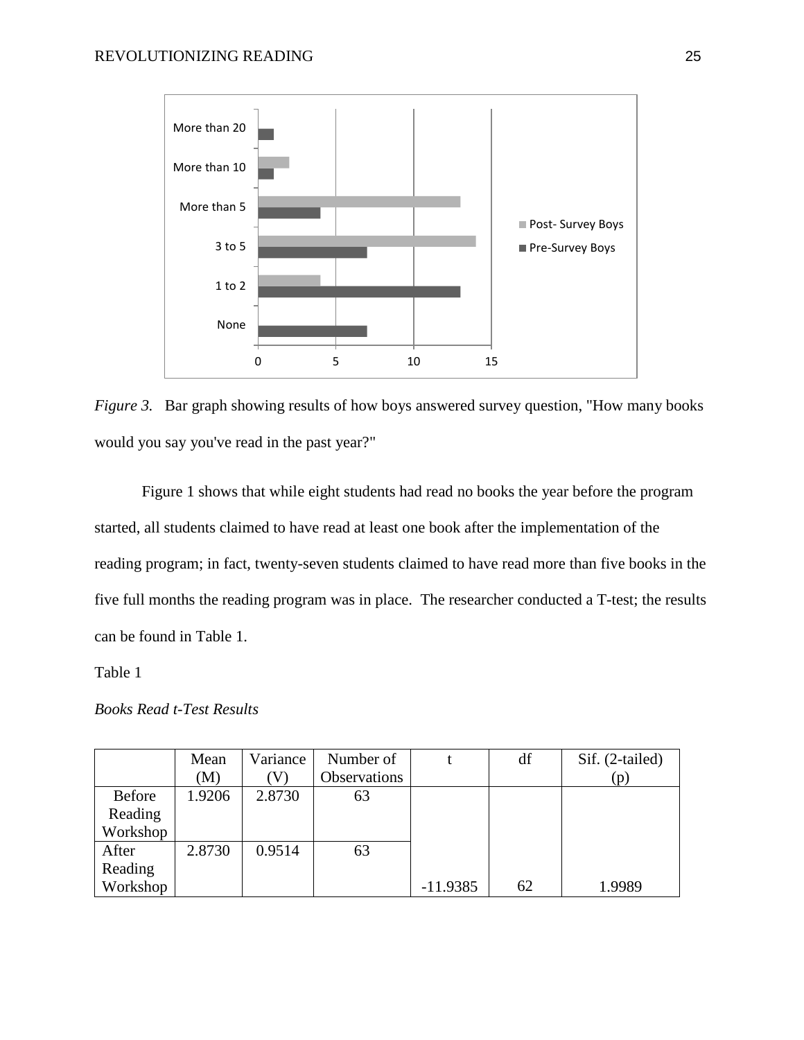

<span id="page-33-0"></span>*Figure 3.* Bar graph showing results of how boys answered survey question, "How many books" would you say you've read in the past year?"

Figure 1 shows that while eight students had read no books the year before the program started, all students claimed to have read at least one book after the implementation of the reading program; in fact, twenty-seven students claimed to have read more than five books in the five full months the reading program was in place. The researcher conducted a T-test; the results can be found in Table 1.

Table 1

|          | Mean   | Variance | Number of    |            | df | Sif. (2-tailed) |
|----------|--------|----------|--------------|------------|----|-----------------|
|          | (M)    | V)       | Observations |            |    | (p)             |
| Before   | 1.9206 | 2.8730   | 63           |            |    |                 |
| Reading  |        |          |              |            |    |                 |
| Workshop |        |          |              |            |    |                 |
| After    | 2.8730 | 0.9514   | 63           |            |    |                 |
| Reading  |        |          |              |            |    |                 |
| Workshop |        |          |              | $-11.9385$ | 62 | 1.9989          |

*Books Read t-Test Results*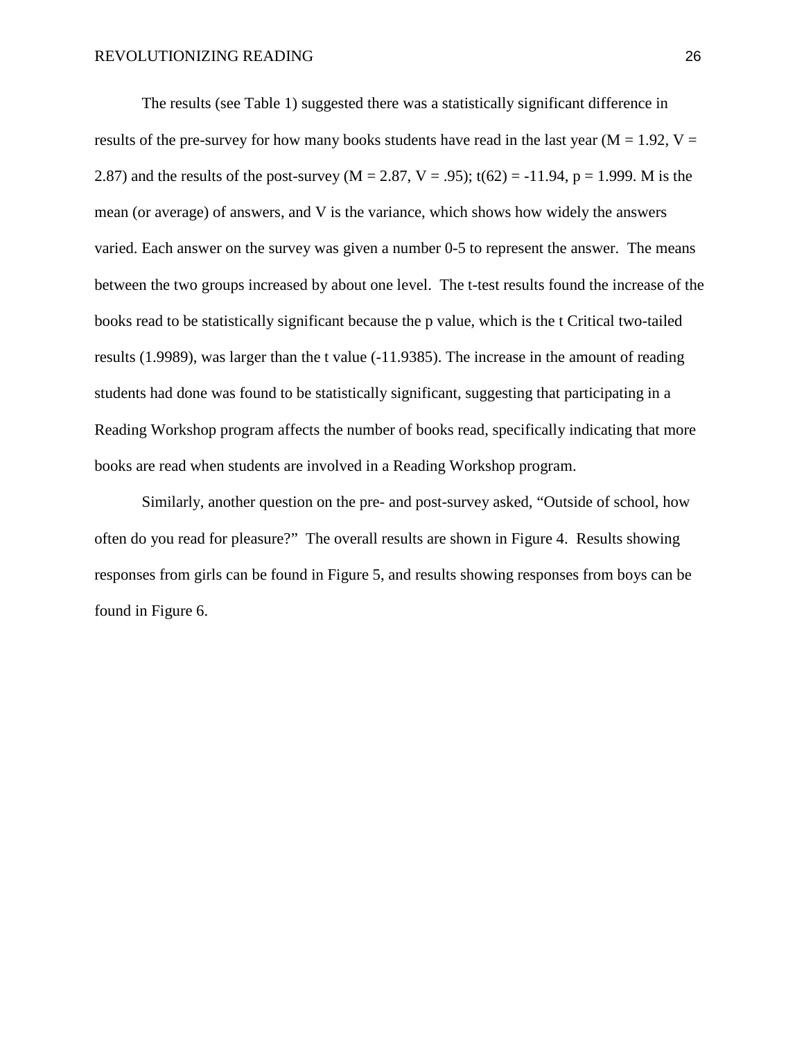The results (see Table 1) suggested there was a statistically significant difference in results of the pre-survey for how many books students have read in the last year ( $M = 1.92$ ,  $V =$ 2.87) and the results of the post-survey ( $M = 2.87$ ,  $V = .95$ ); t(62) = -11.94, p = 1.999. M is the mean (or average) of answers, and V is the variance, which shows how widely the answers varied. Each answer on the survey was given a number 0-5 to represent the answer. The means between the two groups increased by about one level. The t-test results found the increase of the books read to be statistically significant because the p value, which is the t Critical two-tailed results (1.9989), was larger than the t value (-11.9385). The increase in the amount of reading students had done was found to be statistically significant, suggesting that participating in a Reading Workshop program affects the number of books read, specifically indicating that more books are read when students are involved in a Reading Workshop program.

Similarly, another question on the pre- and post-survey asked, "Outside of school, how often do you read for pleasure?" The overall results are shown in Figure 4. Results showing responses from girls can be found in Figure 5, and results showing responses from boys can be found in Figure 6.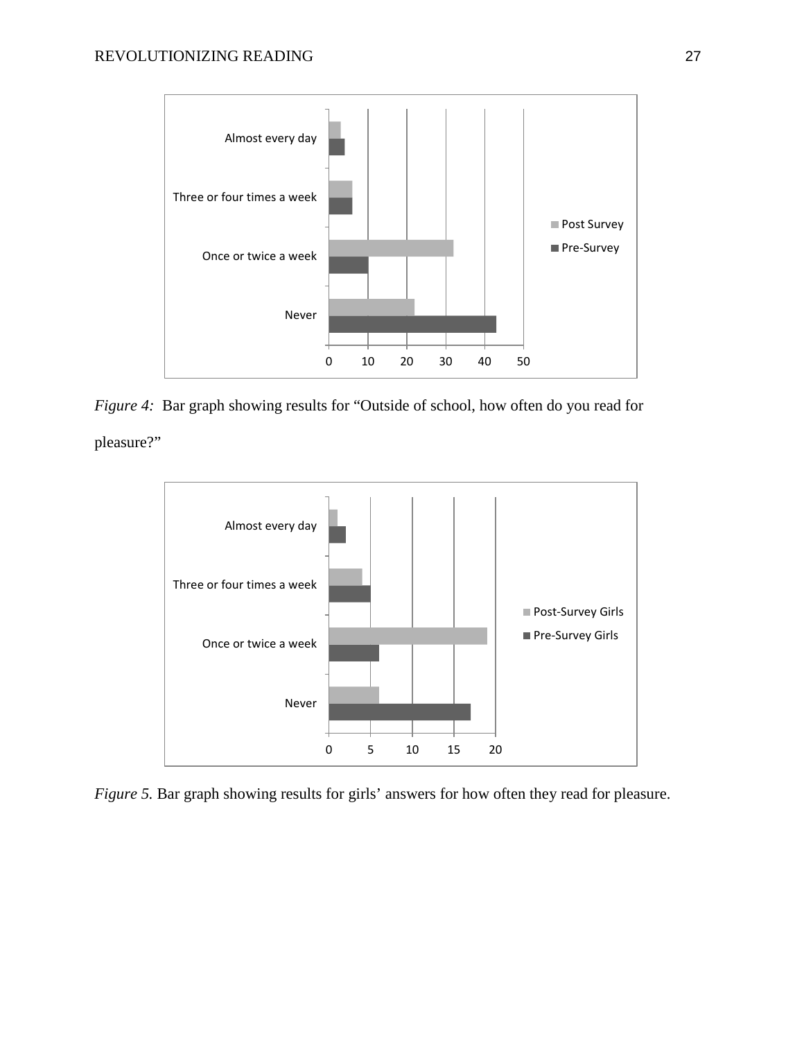

<span id="page-35-0"></span>*Figure 4:* Bar graph showing results for "Outside of school, how often do you read for pleasure?"



<span id="page-35-1"></span>*Figure 5.* Bar graph showing results for girls' answers for how often they read for pleasure.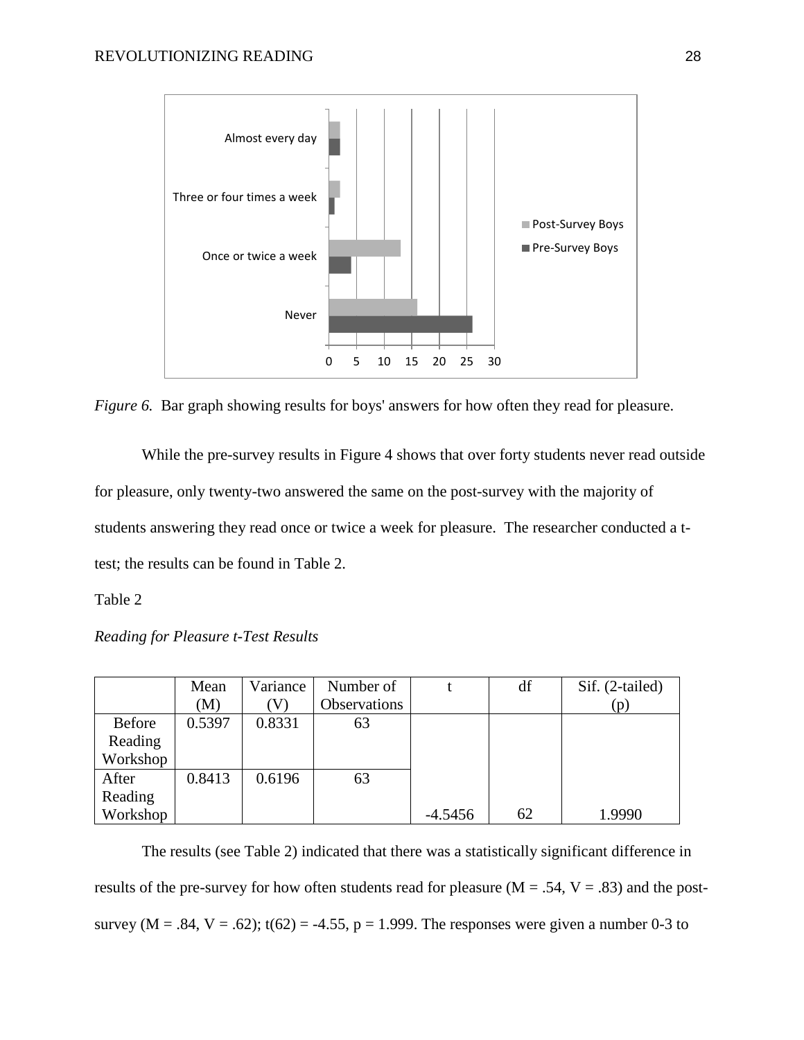

<span id="page-36-0"></span>*Figure 6.* Bar graph showing results for boys' answers for how often they read for pleasure.

While the pre-survey results in Figure 4 shows that over forty students never read outside for pleasure, only twenty-two answered the same on the post-survey with the majority of students answering they read once or twice a week for pleasure. The researcher conducted a ttest; the results can be found in Table 2.

Table 2

*Reading for Pleasure t-Test Results*

|               | Mean   | Variance | Number of    |           | df | Sif. (2-tailed) |
|---------------|--------|----------|--------------|-----------|----|-----------------|
|               | (M)    |          | Observations |           |    | (p)             |
| <b>Before</b> | 0.5397 | 0.8331   | 63           |           |    |                 |
| Reading       |        |          |              |           |    |                 |
| Workshop      |        |          |              |           |    |                 |
| After         | 0.8413 | 0.6196   | 63           |           |    |                 |
| Reading       |        |          |              |           |    |                 |
| Workshop      |        |          |              | $-4.5456$ | 62 | 1.9990          |

The results (see Table 2) indicated that there was a statistically significant difference in results of the pre-survey for how often students read for pleasure ( $M = .54$ ,  $V = .83$ ) and the postsurvey ( $M = .84$ ,  $V = .62$ ); t(62) = -4.55, p = 1.999. The responses were given a number 0-3 to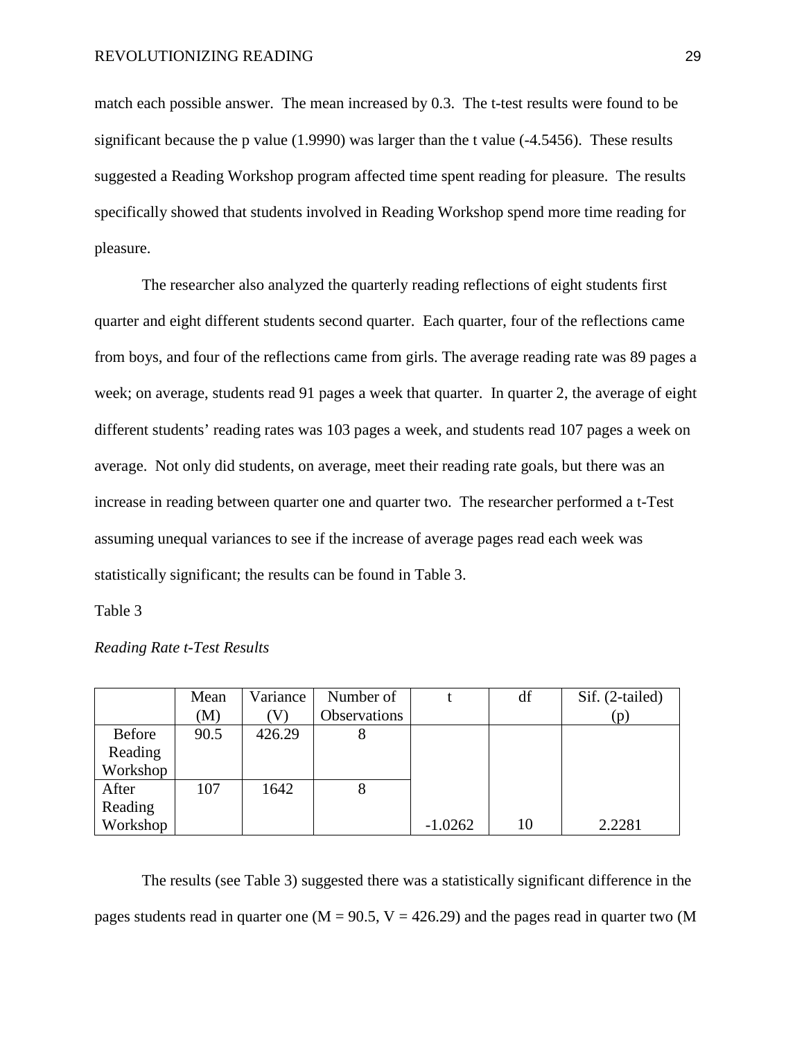match each possible answer. The mean increased by 0.3. The t-test results were found to be significant because the p value  $(1.9990)$  was larger than the t value  $(-4.5456)$ . These results suggested a Reading Workshop program affected time spent reading for pleasure. The results specifically showed that students involved in Reading Workshop spend more time reading for pleasure.

The researcher also analyzed the quarterly reading reflections of eight students first quarter and eight different students second quarter. Each quarter, four of the reflections came from boys, and four of the reflections came from girls. The average reading rate was 89 pages a week; on average, students read 91 pages a week that quarter. In quarter 2, the average of eight different students' reading rates was 103 pages a week, and students read 107 pages a week on average. Not only did students, on average, meet their reading rate goals, but there was an increase in reading between quarter one and quarter two. The researcher performed a t-Test assuming unequal variances to see if the increase of average pages read each week was statistically significant; the results can be found in Table 3.

Table 3

|          | Mean | Variance | Number of    |           | df | Sif. (2-tailed) |
|----------|------|----------|--------------|-----------|----|-----------------|
|          | (M)  |          | Observations |           |    | (p)             |
| Before   | 90.5 | 426.29   | 8            |           |    |                 |
| Reading  |      |          |              |           |    |                 |
| Workshop |      |          |              |           |    |                 |
| After    | 107  | 1642     | 8            |           |    |                 |
| Reading  |      |          |              |           |    |                 |
| Workshop |      |          |              | $-1.0262$ | 10 | 2.2281          |

*Reading Rate t-Test Results*

The results (see Table 3) suggested there was a statistically significant difference in the pages students read in quarter one ( $M = 90.5$ ,  $V = 426.29$ ) and the pages read in quarter two (M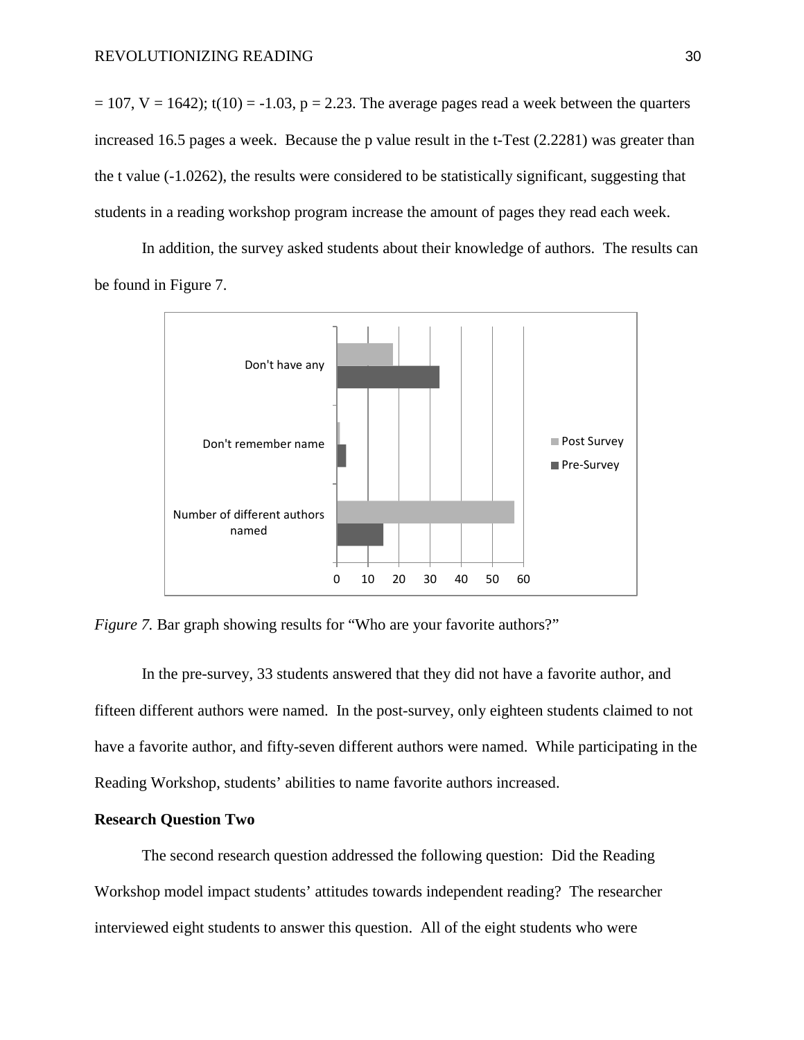$= 107$ , V = 1642); t(10) = -1.03, p = 2.23. The average pages read a week between the quarters increased 16.5 pages a week. Because the p value result in the t-Test (2.2281) was greater than the t value (-1.0262), the results were considered to be statistically significant, suggesting that students in a reading workshop program increase the amount of pages they read each week.

In addition, the survey asked students about their knowledge of authors. The results can be found in Figure 7.



<span id="page-38-0"></span>*Figure 7.* Bar graph showing results for "Who are your favorite authors?"

In the pre-survey, 33 students answered that they did not have a favorite author, and fifteen different authors were named. In the post-survey, only eighteen students claimed to not have a favorite author, and fifty-seven different authors were named. While participating in the Reading Workshop, students' abilities to name favorite authors increased.

#### **Research Question Two**

The second research question addressed the following question: Did the Reading Workshop model impact students' attitudes towards independent reading? The researcher interviewed eight students to answer this question. All of the eight students who were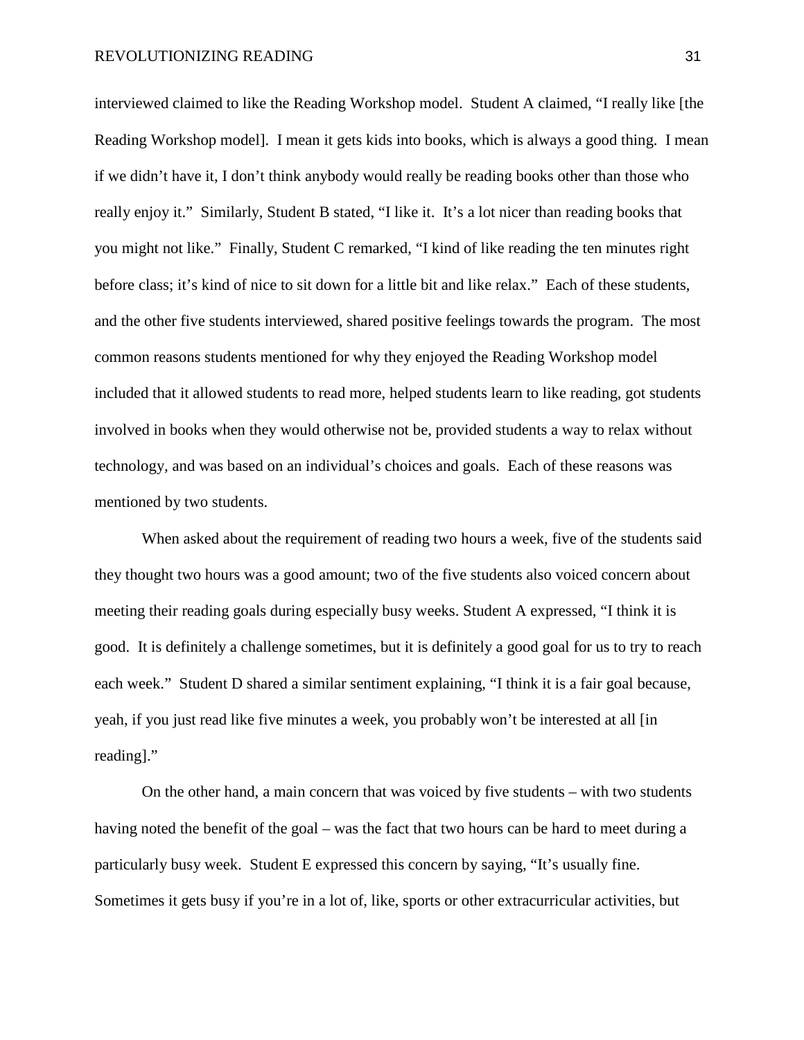interviewed claimed to like the Reading Workshop model. Student A claimed, "I really like [the Reading Workshop model]. I mean it gets kids into books, which is always a good thing. I mean if we didn't have it, I don't think anybody would really be reading books other than those who really enjoy it." Similarly, Student B stated, "I like it. It's a lot nicer than reading books that you might not like." Finally, Student C remarked, "I kind of like reading the ten minutes right before class; it's kind of nice to sit down for a little bit and like relax." Each of these students, and the other five students interviewed, shared positive feelings towards the program. The most common reasons students mentioned for why they enjoyed the Reading Workshop model included that it allowed students to read more, helped students learn to like reading, got students involved in books when they would otherwise not be, provided students a way to relax without technology, and was based on an individual's choices and goals. Each of these reasons was mentioned by two students.

When asked about the requirement of reading two hours a week, five of the students said they thought two hours was a good amount; two of the five students also voiced concern about meeting their reading goals during especially busy weeks. Student A expressed, "I think it is good. It is definitely a challenge sometimes, but it is definitely a good goal for us to try to reach each week." Student D shared a similar sentiment explaining, "I think it is a fair goal because, yeah, if you just read like five minutes a week, you probably won't be interested at all [in reading]."

On the other hand, a main concern that was voiced by five students – with two students having noted the benefit of the goal – was the fact that two hours can be hard to meet during a particularly busy week. Student E expressed this concern by saying, "It's usually fine. Sometimes it gets busy if you're in a lot of, like, sports or other extracurricular activities, but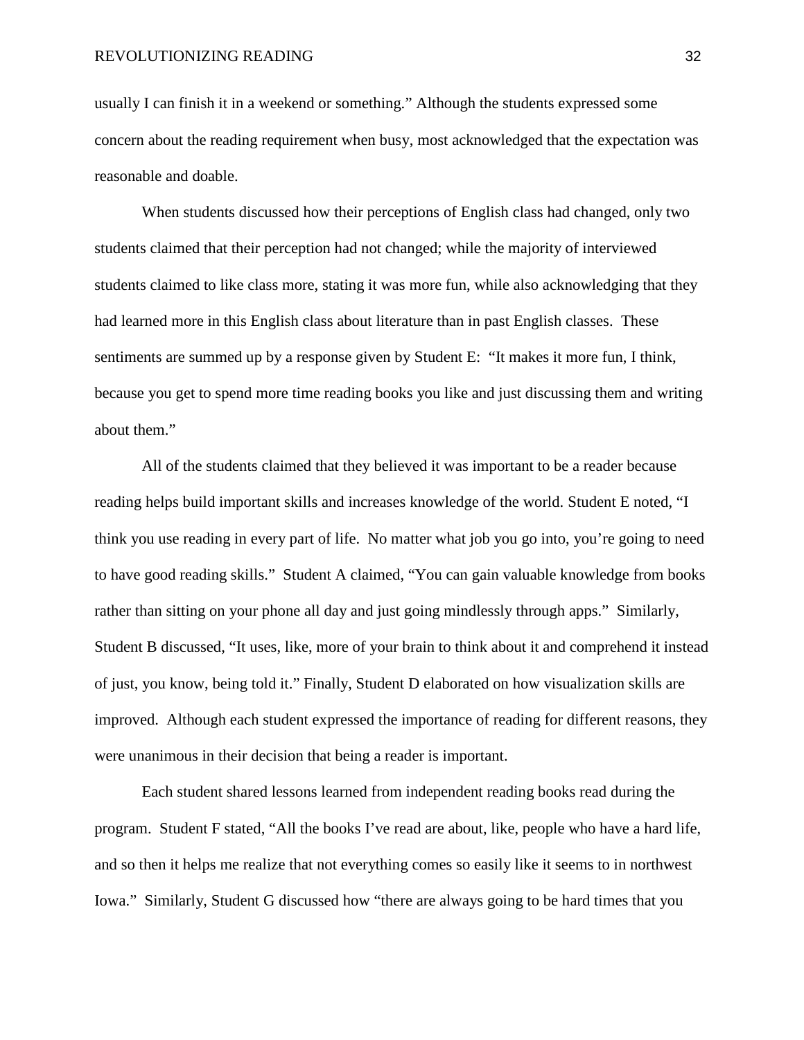usually I can finish it in a weekend or something." Although the students expressed some concern about the reading requirement when busy, most acknowledged that the expectation was reasonable and doable.

When students discussed how their perceptions of English class had changed, only two students claimed that their perception had not changed; while the majority of interviewed students claimed to like class more, stating it was more fun, while also acknowledging that they had learned more in this English class about literature than in past English classes. These sentiments are summed up by a response given by Student E: "It makes it more fun, I think, because you get to spend more time reading books you like and just discussing them and writing about them."

All of the students claimed that they believed it was important to be a reader because reading helps build important skills and increases knowledge of the world. Student E noted, "I think you use reading in every part of life. No matter what job you go into, you're going to need to have good reading skills." Student A claimed, "You can gain valuable knowledge from books rather than sitting on your phone all day and just going mindlessly through apps." Similarly, Student B discussed, "It uses, like, more of your brain to think about it and comprehend it instead of just, you know, being told it." Finally, Student D elaborated on how visualization skills are improved. Although each student expressed the importance of reading for different reasons, they were unanimous in their decision that being a reader is important.

Each student shared lessons learned from independent reading books read during the program. Student F stated, "All the books I've read are about, like, people who have a hard life, and so then it helps me realize that not everything comes so easily like it seems to in northwest Iowa." Similarly, Student G discussed how "there are always going to be hard times that you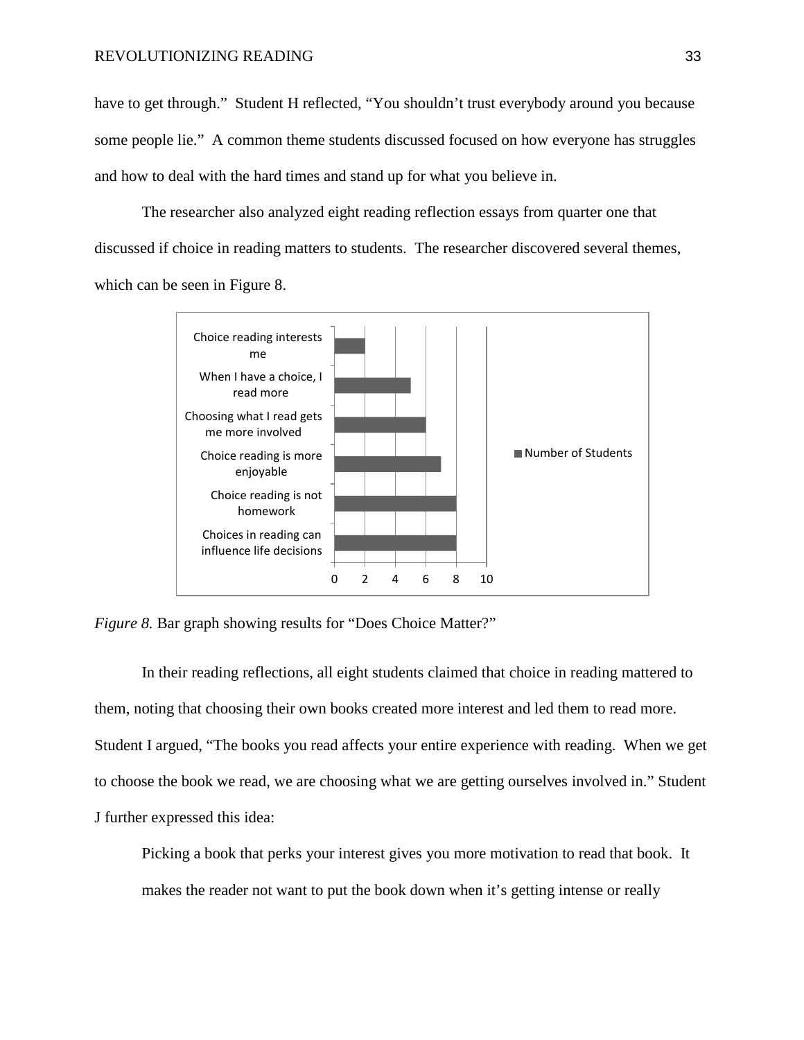have to get through." Student H reflected, "You shouldn't trust everybody around you because some people lie." A common theme students discussed focused on how everyone has struggles and how to deal with the hard times and stand up for what you believe in.

The researcher also analyzed eight reading reflection essays from quarter one that discussed if choice in reading matters to students. The researcher discovered several themes, which can be seen in Figure 8.



<span id="page-41-0"></span>*Figure 8.* Bar graph showing results for "Does Choice Matter?"

In their reading reflections, all eight students claimed that choice in reading mattered to them, noting that choosing their own books created more interest and led them to read more. Student I argued, "The books you read affects your entire experience with reading. When we get to choose the book we read, we are choosing what we are getting ourselves involved in." Student J further expressed this idea:

Picking a book that perks your interest gives you more motivation to read that book. It makes the reader not want to put the book down when it's getting intense or really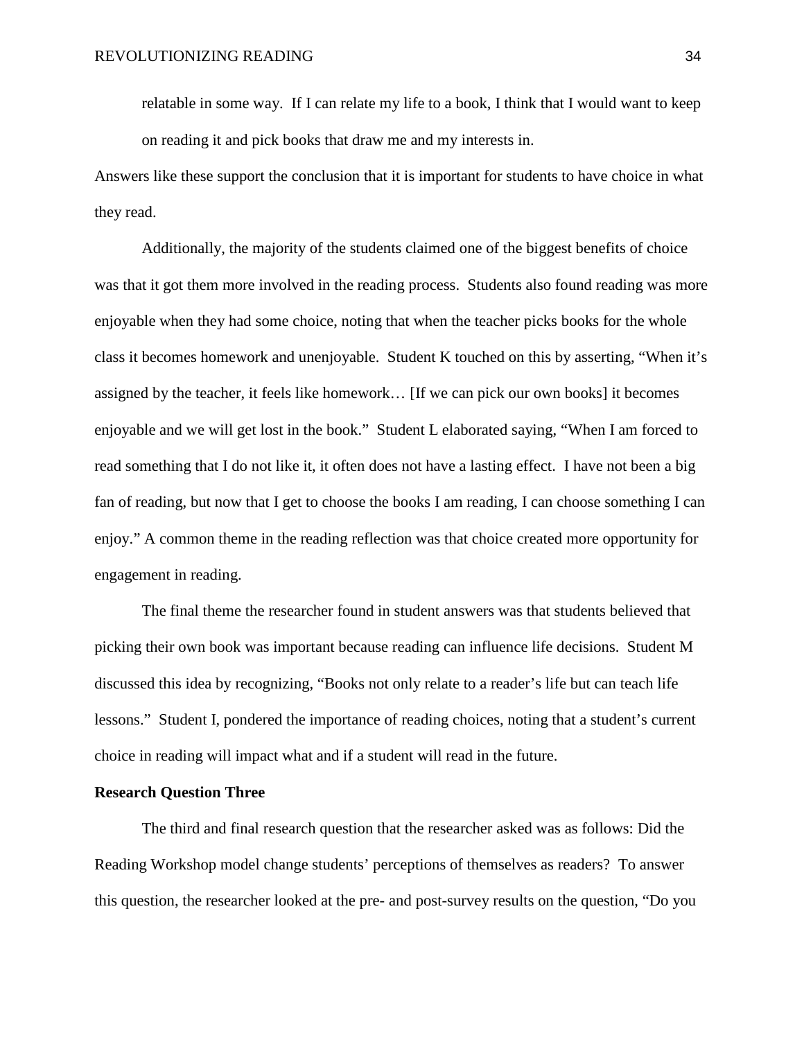relatable in some way. If I can relate my life to a book, I think that I would want to keep on reading it and pick books that draw me and my interests in.

Answers like these support the conclusion that it is important for students to have choice in what they read.

Additionally, the majority of the students claimed one of the biggest benefits of choice was that it got them more involved in the reading process. Students also found reading was more enjoyable when they had some choice, noting that when the teacher picks books for the whole class it becomes homework and unenjoyable. Student K touched on this by asserting, "When it's assigned by the teacher, it feels like homework… [If we can pick our own books] it becomes enjoyable and we will get lost in the book." Student L elaborated saying, "When I am forced to read something that I do not like it, it often does not have a lasting effect. I have not been a big fan of reading, but now that I get to choose the books I am reading, I can choose something I can enjoy." A common theme in the reading reflection was that choice created more opportunity for engagement in reading.

The final theme the researcher found in student answers was that students believed that picking their own book was important because reading can influence life decisions. Student M discussed this idea by recognizing, "Books not only relate to a reader's life but can teach life lessons." Student I, pondered the importance of reading choices, noting that a student's current choice in reading will impact what and if a student will read in the future.

#### **Research Question Three**

The third and final research question that the researcher asked was as follows: Did the Reading Workshop model change students' perceptions of themselves as readers? To answer this question, the researcher looked at the pre- and post-survey results on the question, "Do you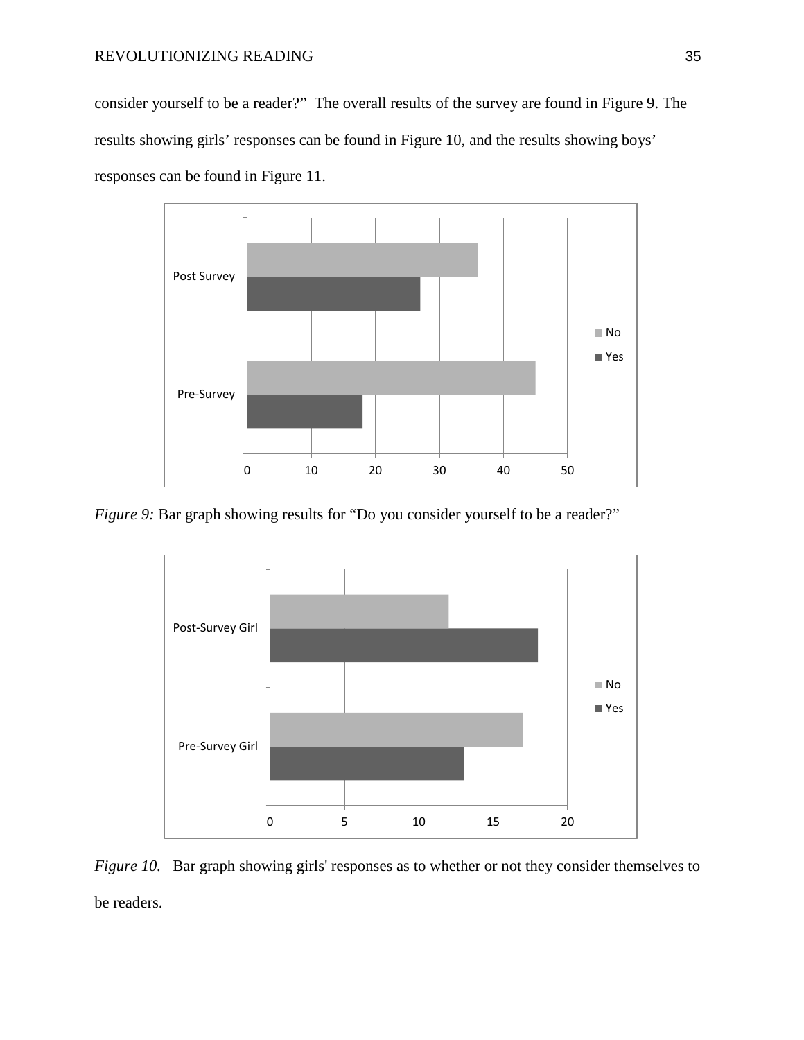consider yourself to be a reader?" The overall results of the survey are found in Figure 9. The results showing girls' responses can be found in Figure 10, and the results showing boys' responses can be found in Figure 11.



<span id="page-43-0"></span>*Figure 9:* Bar graph showing results for "Do you consider yourself to be a reader?"



<span id="page-43-1"></span>*Figure 10.* Bar graph showing girls' responses as to whether or not they consider themselves to be readers.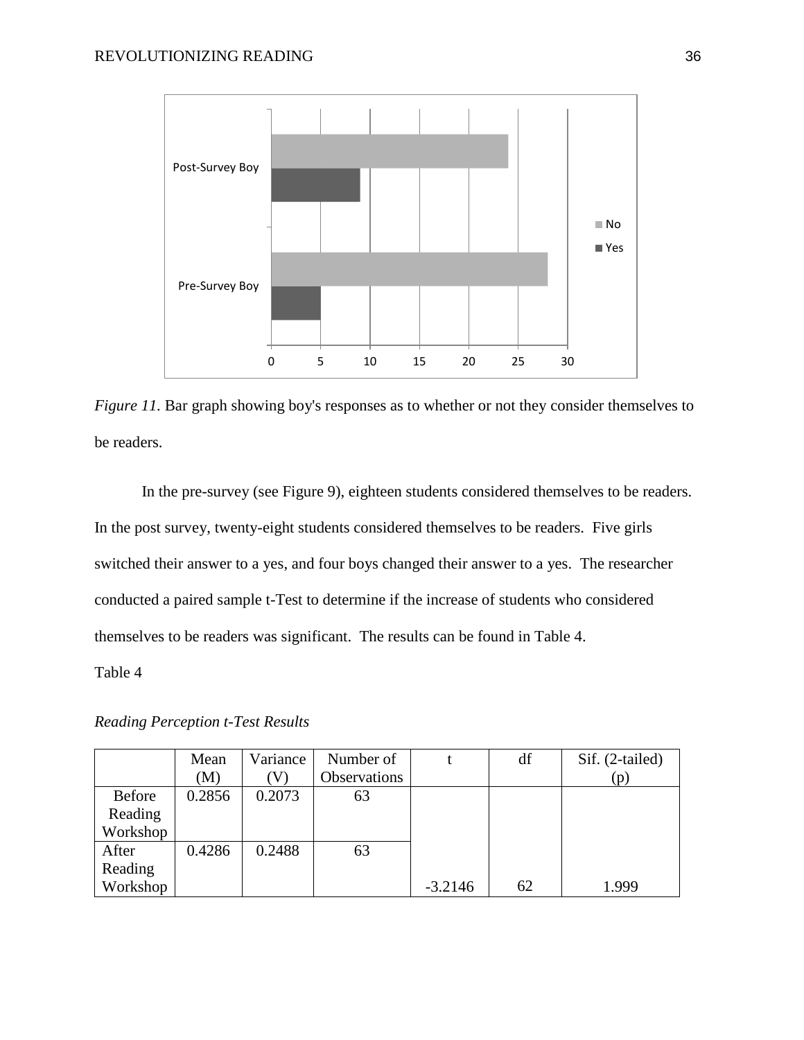

<span id="page-44-0"></span>*Figure 11.* Bar graph showing boy's responses as to whether or not they consider themselves to be readers.

In the pre-survey (see Figure 9), eighteen students considered themselves to be readers. In the post survey, twenty-eight students considered themselves to be readers. Five girls switched their answer to a yes, and four boys changed their answer to a yes. The researcher conducted a paired sample t-Test to determine if the increase of students who considered themselves to be readers was significant. The results can be found in Table 4.

Table 4

*Reading Perception t-Test Results*

|          | Mean   | Variance | Number of    |           | df | Sif. (2-tailed) |
|----------|--------|----------|--------------|-----------|----|-----------------|
|          | (M)    |          | Observations |           |    | (p)             |
| Before   | 0.2856 | 0.2073   | 63           |           |    |                 |
| Reading  |        |          |              |           |    |                 |
| Workshop |        |          |              |           |    |                 |
| After    | 0.4286 | 0.2488   | 63           |           |    |                 |
| Reading  |        |          |              |           |    |                 |
| Workshop |        |          |              | $-3.2146$ | 62 | 1.999           |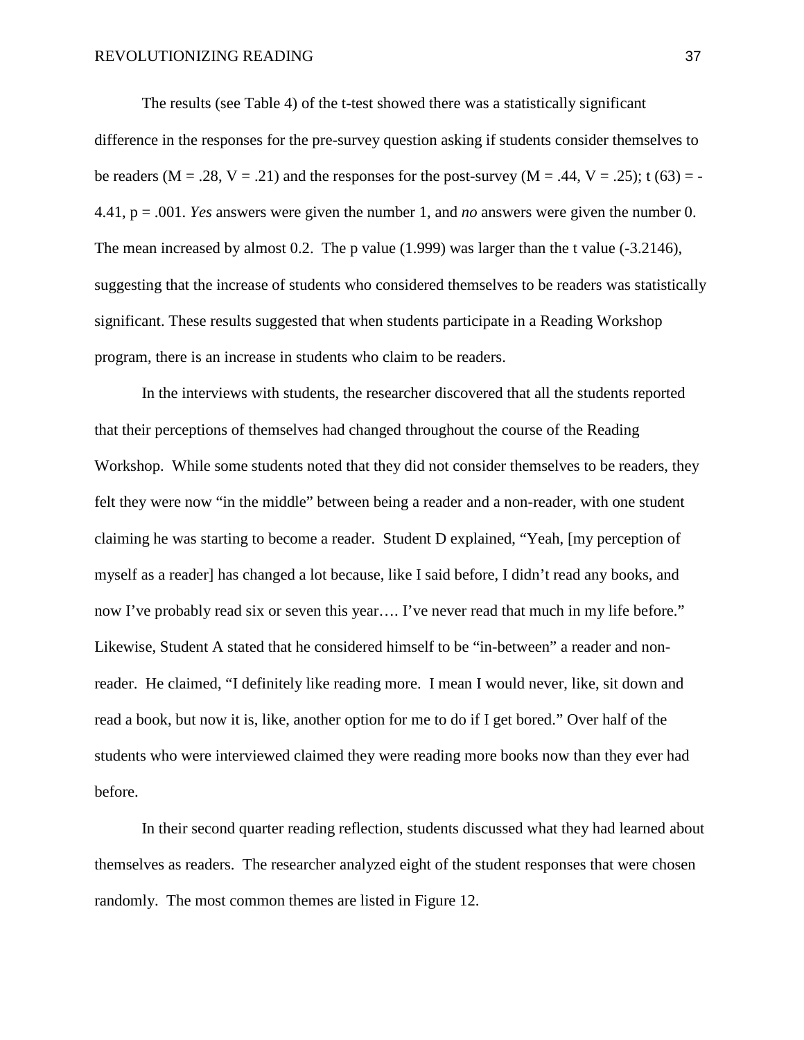The results (see Table 4) of the t-test showed there was a statistically significant difference in the responses for the pre-survey question asking if students consider themselves to be readers ( $M = .28$ ,  $V = .21$ ) and the responses for the post-survey ( $M = .44$ ,  $V = .25$ ); t (63) = -4.41, p = .001. *Yes* answers were given the number 1, and *no* answers were given the number 0. The mean increased by almost 0.2. The p value (1.999) was larger than the t value (-3.2146), suggesting that the increase of students who considered themselves to be readers was statistically significant. These results suggested that when students participate in a Reading Workshop program, there is an increase in students who claim to be readers.

In the interviews with students, the researcher discovered that all the students reported that their perceptions of themselves had changed throughout the course of the Reading Workshop. While some students noted that they did not consider themselves to be readers, they felt they were now "in the middle" between being a reader and a non-reader, with one student claiming he was starting to become a reader. Student D explained, "Yeah, [my perception of myself as a reader] has changed a lot because, like I said before, I didn't read any books, and now I've probably read six or seven this year.... I've never read that much in my life before." Likewise, Student A stated that he considered himself to be "in-between" a reader and nonreader. He claimed, "I definitely like reading more. I mean I would never, like, sit down and read a book, but now it is, like, another option for me to do if I get bored." Over half of the students who were interviewed claimed they were reading more books now than they ever had before.

In their second quarter reading reflection, students discussed what they had learned about themselves as readers. The researcher analyzed eight of the student responses that were chosen randomly. The most common themes are listed in Figure 12.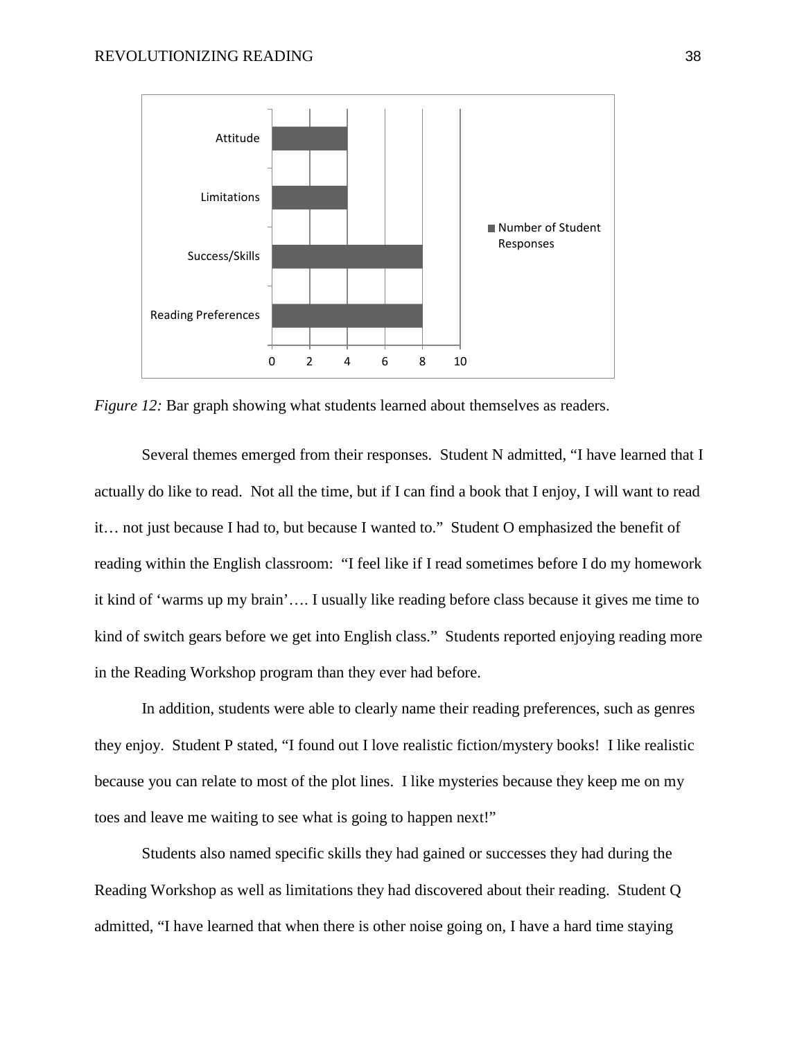

<span id="page-46-0"></span>*Figure 12:* Bar graph showing what students learned about themselves as readers.

Several themes emerged from their responses. Student N admitted, "I have learned that I actually do like to read. Not all the time, but if I can find a book that I enjoy, I will want to read it… not just because I had to, but because I wanted to." Student O emphasized the benefit of reading within the English classroom: "I feel like if I read sometimes before I do my homework it kind of 'warms up my brain'…. I usually like reading before class because it gives me time to kind of switch gears before we get into English class." Students reported enjoying reading more in the Reading Workshop program than they ever had before.

In addition, students were able to clearly name their reading preferences, such as genres they enjoy. Student P stated, "I found out I love realistic fiction/mystery books! I like realistic because you can relate to most of the plot lines. I like mysteries because they keep me on my toes and leave me waiting to see what is going to happen next!"

Students also named specific skills they had gained or successes they had during the Reading Workshop as well as limitations they had discovered about their reading. Student Q admitted, "I have learned that when there is other noise going on, I have a hard time staying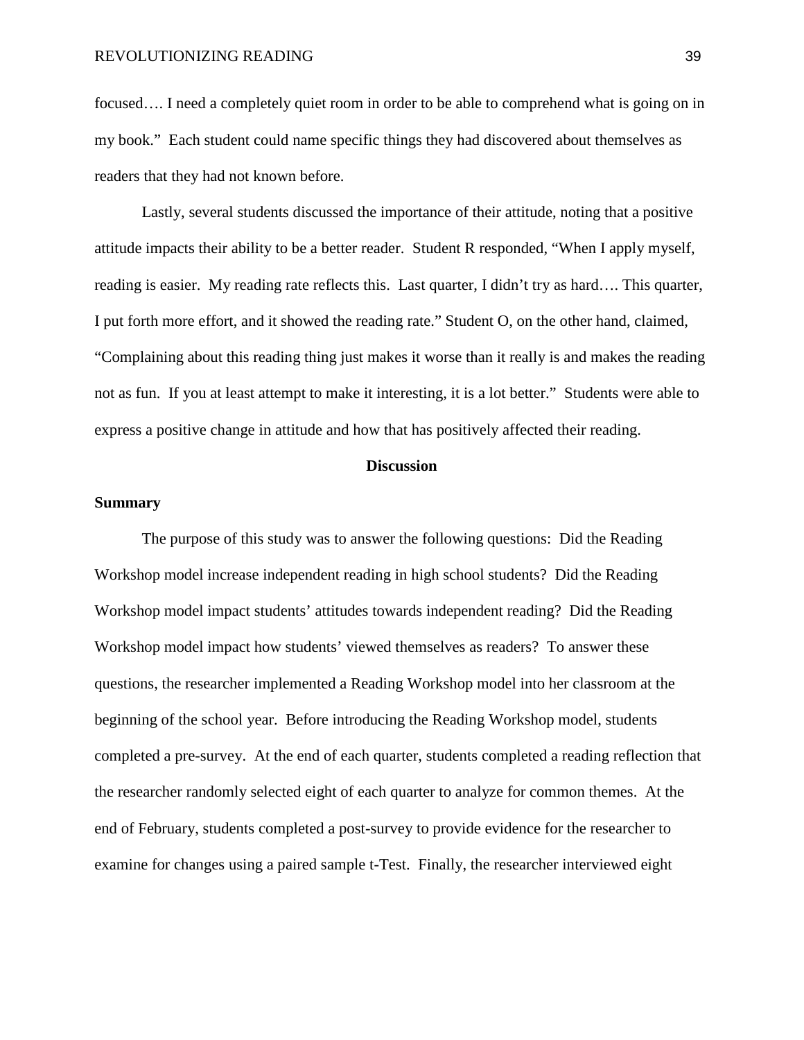focused…. I need a completely quiet room in order to be able to comprehend what is going on in my book." Each student could name specific things they had discovered about themselves as readers that they had not known before.

Lastly, several students discussed the importance of their attitude, noting that a positive attitude impacts their ability to be a better reader. Student R responded, "When I apply myself, reading is easier. My reading rate reflects this. Last quarter, I didn't try as hard…. This quarter, I put forth more effort, and it showed the reading rate." Student O, on the other hand, claimed, "Complaining about this reading thing just makes it worse than it really is and makes the reading not as fun. If you at least attempt to make it interesting, it is a lot better." Students were able to express a positive change in attitude and how that has positively affected their reading.

#### **Discussion**

#### **Summary**

The purpose of this study was to answer the following questions: Did the Reading Workshop model increase independent reading in high school students? Did the Reading Workshop model impact students' attitudes towards independent reading? Did the Reading Workshop model impact how students' viewed themselves as readers? To answer these questions, the researcher implemented a Reading Workshop model into her classroom at the beginning of the school year. Before introducing the Reading Workshop model, students completed a pre-survey. At the end of each quarter, students completed a reading reflection that the researcher randomly selected eight of each quarter to analyze for common themes. At the end of February, students completed a post-survey to provide evidence for the researcher to examine for changes using a paired sample t-Test. Finally, the researcher interviewed eight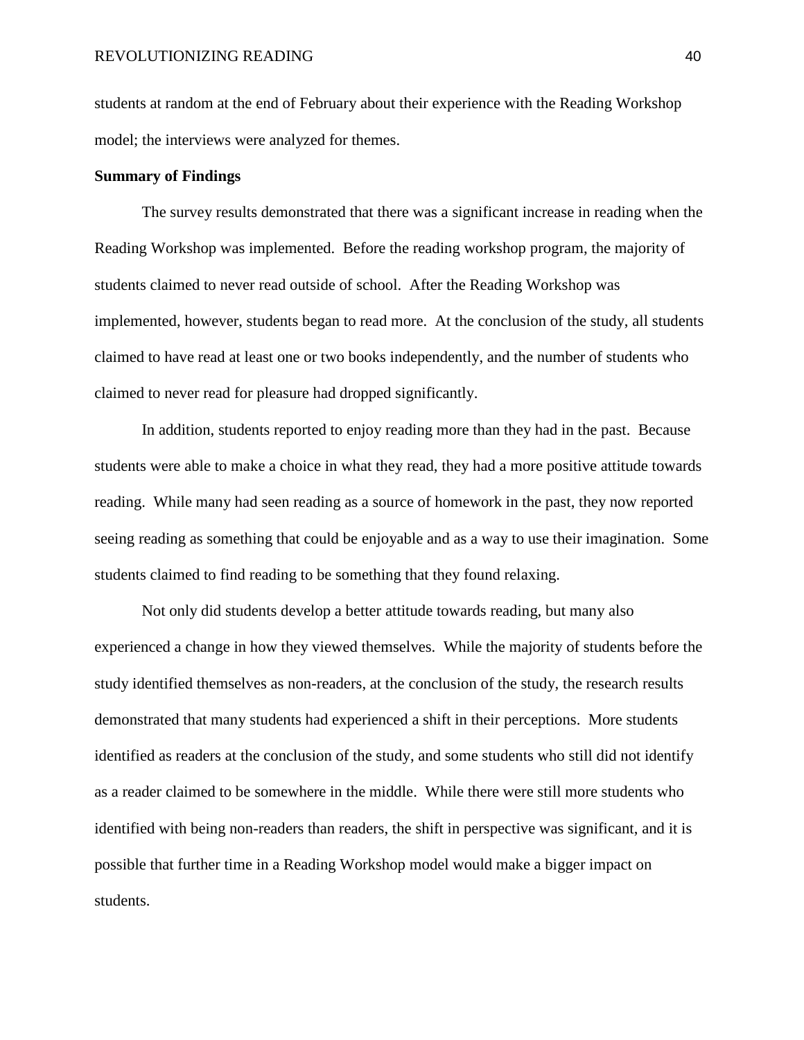students at random at the end of February about their experience with the Reading Workshop model; the interviews were analyzed for themes.

#### **Summary of Findings**

The survey results demonstrated that there was a significant increase in reading when the Reading Workshop was implemented. Before the reading workshop program, the majority of students claimed to never read outside of school. After the Reading Workshop was implemented, however, students began to read more. At the conclusion of the study, all students claimed to have read at least one or two books independently, and the number of students who claimed to never read for pleasure had dropped significantly.

In addition, students reported to enjoy reading more than they had in the past. Because students were able to make a choice in what they read, they had a more positive attitude towards reading. While many had seen reading as a source of homework in the past, they now reported seeing reading as something that could be enjoyable and as a way to use their imagination. Some students claimed to find reading to be something that they found relaxing.

Not only did students develop a better attitude towards reading, but many also experienced a change in how they viewed themselves. While the majority of students before the study identified themselves as non-readers, at the conclusion of the study, the research results demonstrated that many students had experienced a shift in their perceptions. More students identified as readers at the conclusion of the study, and some students who still did not identify as a reader claimed to be somewhere in the middle. While there were still more students who identified with being non-readers than readers, the shift in perspective was significant, and it is possible that further time in a Reading Workshop model would make a bigger impact on students.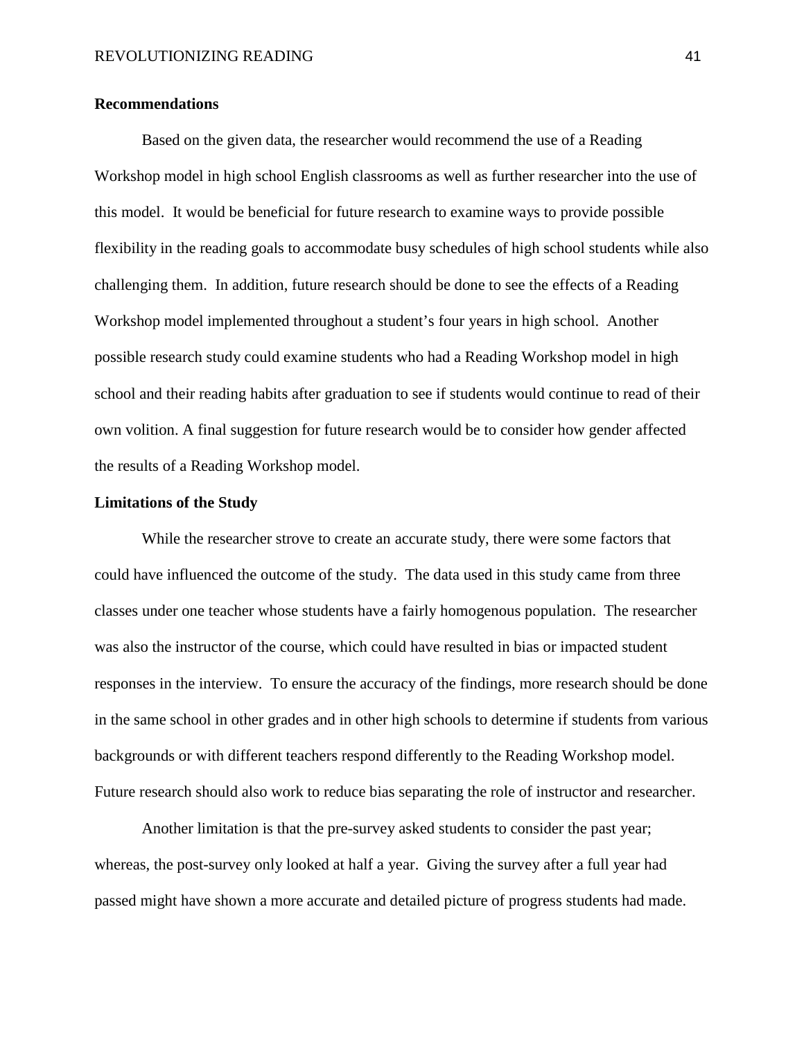#### **Recommendations**

Based on the given data, the researcher would recommend the use of a Reading Workshop model in high school English classrooms as well as further researcher into the use of this model. It would be beneficial for future research to examine ways to provide possible flexibility in the reading goals to accommodate busy schedules of high school students while also challenging them. In addition, future research should be done to see the effects of a Reading Workshop model implemented throughout a student's four years in high school. Another possible research study could examine students who had a Reading Workshop model in high school and their reading habits after graduation to see if students would continue to read of their own volition. A final suggestion for future research would be to consider how gender affected the results of a Reading Workshop model.

#### **Limitations of the Study**

While the researcher strove to create an accurate study, there were some factors that could have influenced the outcome of the study. The data used in this study came from three classes under one teacher whose students have a fairly homogenous population. The researcher was also the instructor of the course, which could have resulted in bias or impacted student responses in the interview. To ensure the accuracy of the findings, more research should be done in the same school in other grades and in other high schools to determine if students from various backgrounds or with different teachers respond differently to the Reading Workshop model. Future research should also work to reduce bias separating the role of instructor and researcher.

Another limitation is that the pre-survey asked students to consider the past year; whereas, the post-survey only looked at half a year. Giving the survey after a full year had passed might have shown a more accurate and detailed picture of progress students had made.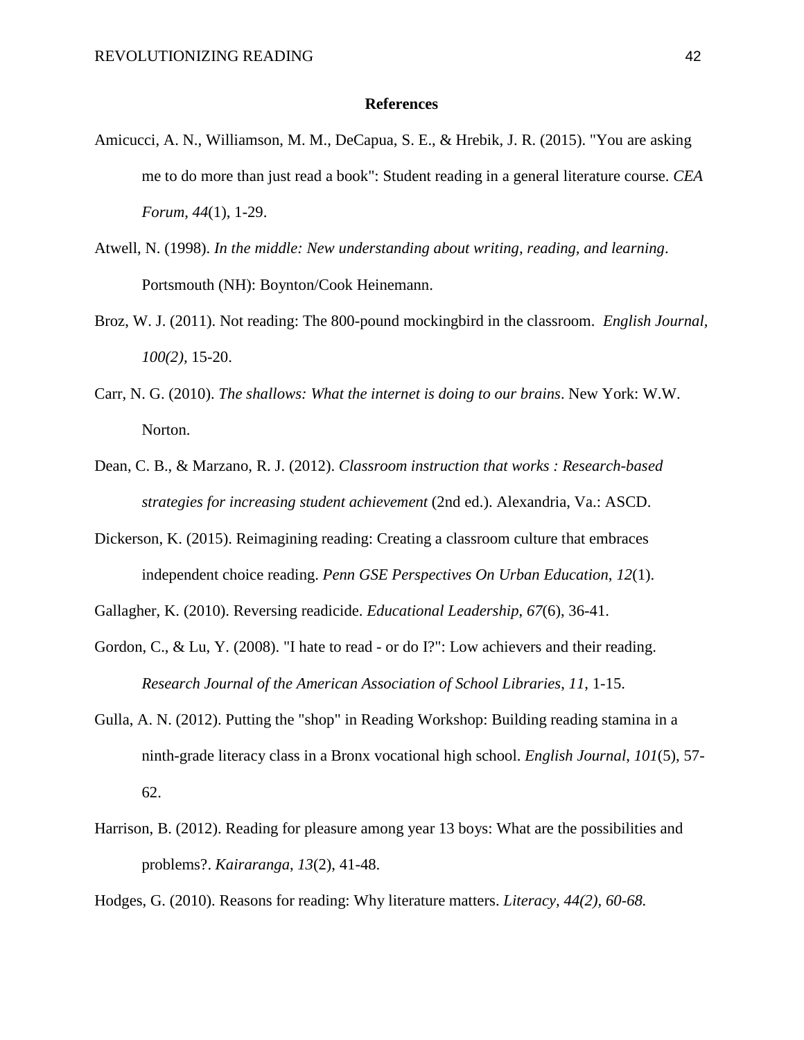#### **References**

- Amicucci, A. N., Williamson, M. M., DeCapua, S. E., & Hrebik, J. R. (2015). "You are asking me to do more than just read a book": Student reading in a general literature course. *CEA Forum*, *44*(1), 1-29.
- Atwell, N. (1998). *In the middle: New understanding about writing, reading, and learning*. Portsmouth (NH): Boynton/Cook Heinemann.
- Broz, W. J. (2011). Not reading: The 800-pound mockingbird in the classroom. *English Journal, 100(2),* 15-20.
- Carr, N. G. (2010). *The shallows: What the internet is doing to our brains*. New York: W.W. Norton.
- Dean, C. B., & Marzano, R. J. (2012). *Classroom instruction that works : Research-based strategies for increasing student achievement* (2nd ed.). Alexandria, Va.: ASCD.
- Dickerson, K. (2015). Reimagining reading: Creating a classroom culture that embraces independent choice reading. *Penn GSE Perspectives On Urban Education*, *12*(1).
- Gallagher, K. (2010). Reversing readicide. *Educational Leadership*, *67*(6), 36-41.
- Gordon, C., & Lu, Y. (2008). "I hate to read or do I?": Low achievers and their reading. *Research Journal of the American Association of School Libraries*, *11*, 1-15.
- Gulla, A. N. (2012). Putting the "shop" in Reading Workshop: Building reading stamina in a ninth-grade literacy class in a Bronx vocational high school. *English Journal*, *101*(5), 57- 62.
- Harrison, B. (2012). Reading for pleasure among year 13 boys: What are the possibilities and problems?. *Kairaranga*, *13*(2), 41-48.

Hodges, G. (2010). Reasons for reading: Why literature matters. *Literacy, 44(2), 60-68.*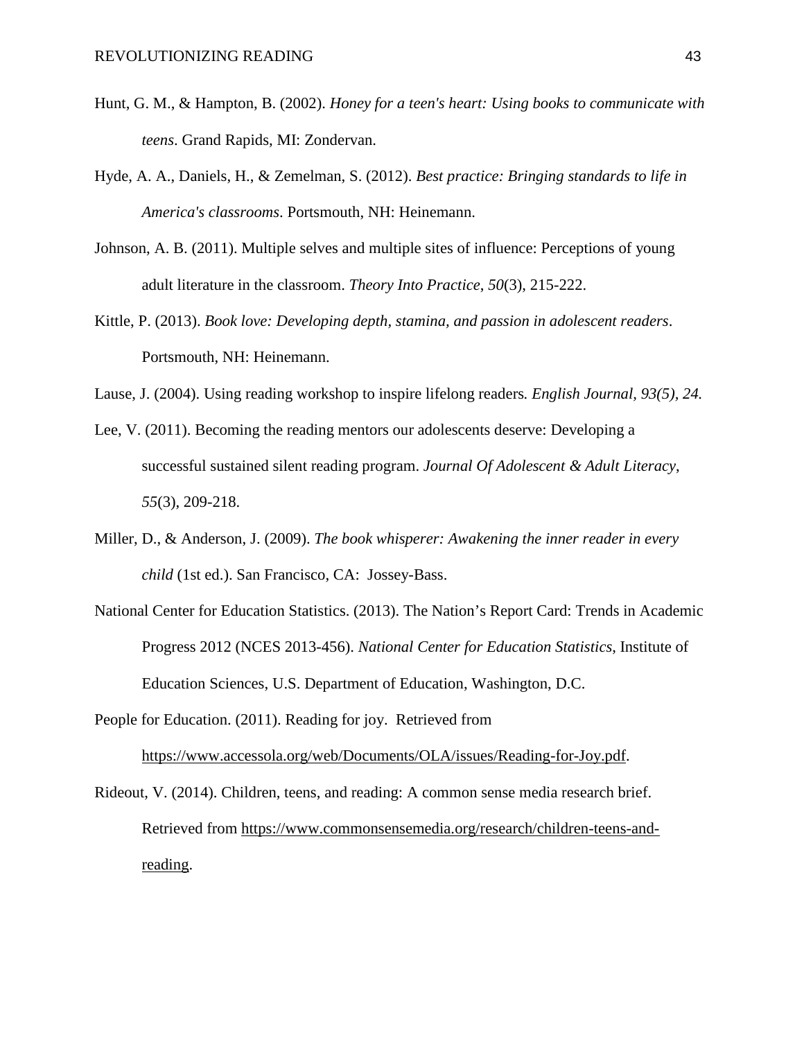- Hunt, G. M., & Hampton, B. (2002). *Honey for a teen's heart: Using books to communicate with teens*. Grand Rapids, MI: Zondervan.
- Hyde, A. A., Daniels, H., & Zemelman, S. (2012). *Best practice: Bringing standards to life in America's classrooms*. Portsmouth, NH: Heinemann.
- Johnson, A. B. (2011). Multiple selves and multiple sites of influence: Perceptions of young adult literature in the classroom. *Theory Into Practice*, *50*(3), 215-222.
- Kittle, P. (2013). *Book love: Developing depth, stamina, and passion in adolescent readers*. Portsmouth, NH: Heinemann.
- Lause, J. (2004). Using reading workshop to inspire lifelong readers*. English Journal, 93(5), 24.*
- Lee, V. (2011). Becoming the reading mentors our adolescents deserve: Developing a successful sustained silent reading program. *Journal Of Adolescent & Adult Literacy*, *55*(3), 209-218.
- Miller, D., & Anderson, J. (2009). *The book whisperer: Awakening the inner reader in every child* (1st ed.). San Francisco, CA: Jossey-Bass.
- National Center for Education Statistics. (2013). The Nation's Report Card: Trends in Academic Progress 2012 (NCES 2013-456). *National Center for Education Statistics*, Institute of Education Sciences, U.S. Department of Education, Washington, D.C.
- People for Education. (2011). Reading for joy. Retrieved from [https://www.accessola.org/web/Documents/OLA/issues/Reading-for-Joy.pdf.](https://www.accessola.org/web/Documents/OLA/issues/Reading-for-Joy.pdf)

Rideout, V. (2014). Children, teens, and reading: A common sense media research brief. Retrieved from [https://www.commonsensemedia.org/research/children-teens-and](https://www.commonsensemedia.org/research/children-teens-and-reading)[reading.](https://www.commonsensemedia.org/research/children-teens-and-reading)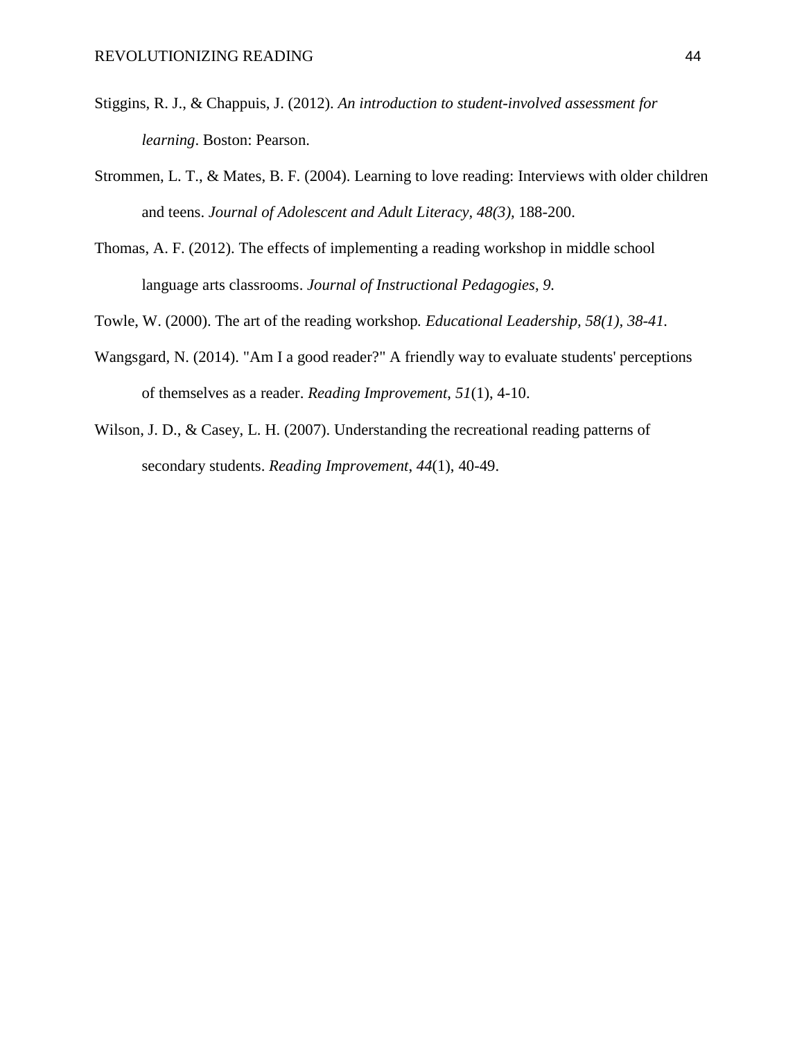- Stiggins, R. J., & Chappuis, J. (2012). *An introduction to student-involved assessment for learning*. Boston: Pearson.
- Strommen, L. T., & Mates, B. F. (2004). Learning to love reading: Interviews with older children and teens. *Journal of Adolescent and Adult Literacy, 48(3),* 188-200.
- Thomas, A. F. (2012). The effects of implementing a reading workshop in middle school language arts classrooms. *Journal of Instructional Pedagogies*, *9.*
- Towle, W. (2000). The art of the reading workshop*. Educational Leadership, 58(1), 38-41.*
- Wangsgard, N. (2014). "Am I a good reader?" A friendly way to evaluate students' perceptions of themselves as a reader. *Reading Improvement*, *51*(1), 4-10.
- Wilson, J. D., & Casey, L. H. (2007). Understanding the recreational reading patterns of secondary students. *Reading Improvement*, *44*(1), 40-49.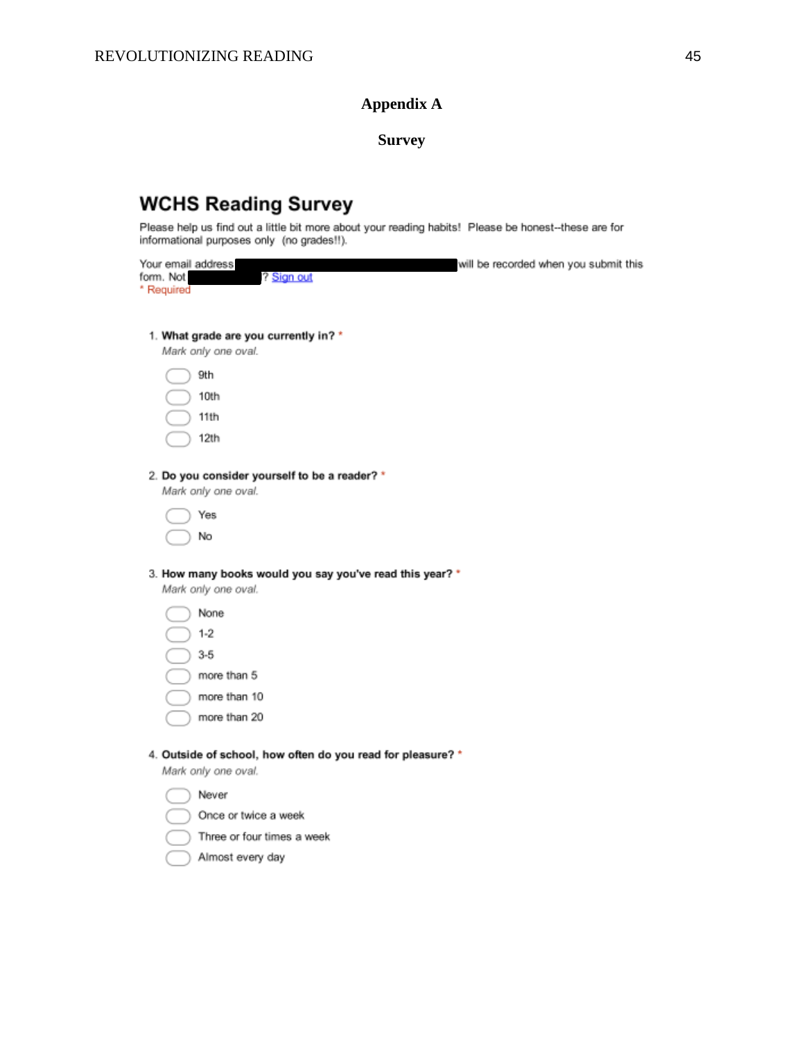# **Appendix A**

**Survey**

# **WCHS Reading Survey**

Please help us find out a little bit more about your reading habits! Please be honest--these are for informational purposes only (no grades!!).

| Your email address<br>form. Not<br>? Sign out<br>* Required                                 | will be recorded when you submit this |
|---------------------------------------------------------------------------------------------|---------------------------------------|
| 1. What grade are you currently in? *<br>Mark only one oval.<br>9th<br>10th<br>11th<br>12th |                                       |
| 2. Do you consider yourself to be a reader? *<br>Mark only one oval.<br>Yes<br>No           |                                       |
| 3. How many books would you say you've read this year? *<br>Mark only one oval.             |                                       |
| None                                                                                        |                                       |
| $1 - 2$                                                                                     |                                       |
| $3 - 5$                                                                                     |                                       |
| more than 5                                                                                 |                                       |
| more than 10                                                                                |                                       |
| more than 20                                                                                |                                       |
| 4. Outside of school, how often do you read for pleasure? *<br>Mark only one oval.          |                                       |
| Never                                                                                       |                                       |
| Once or twice a week                                                                        |                                       |
| Three or four times a week                                                                  |                                       |
| Almost every day                                                                            |                                       |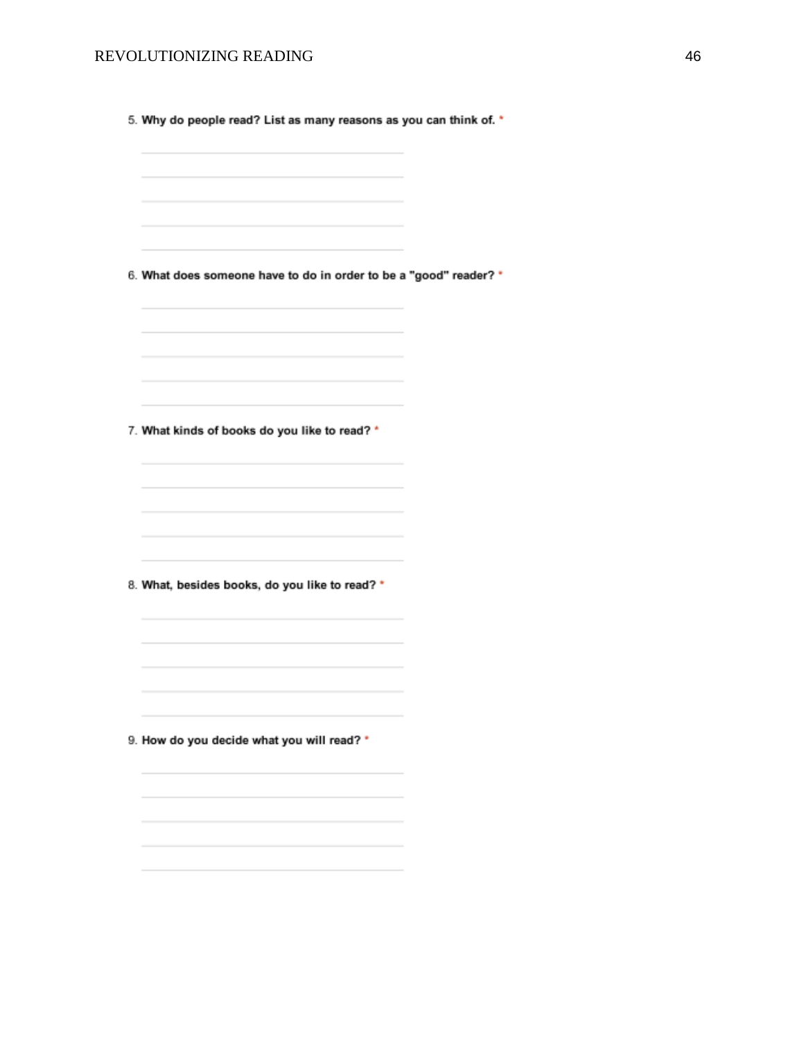#### REVOLUTIONIZING READING 46

5. Why do people read? List as many reasons as you can think of. \*

6. What does someone have to do in order to be a "good" reader? \*

7. What kinds of books do you like to read? \*

8. What, besides books, do you like to read? \*

9. How do you decide what you will read? \*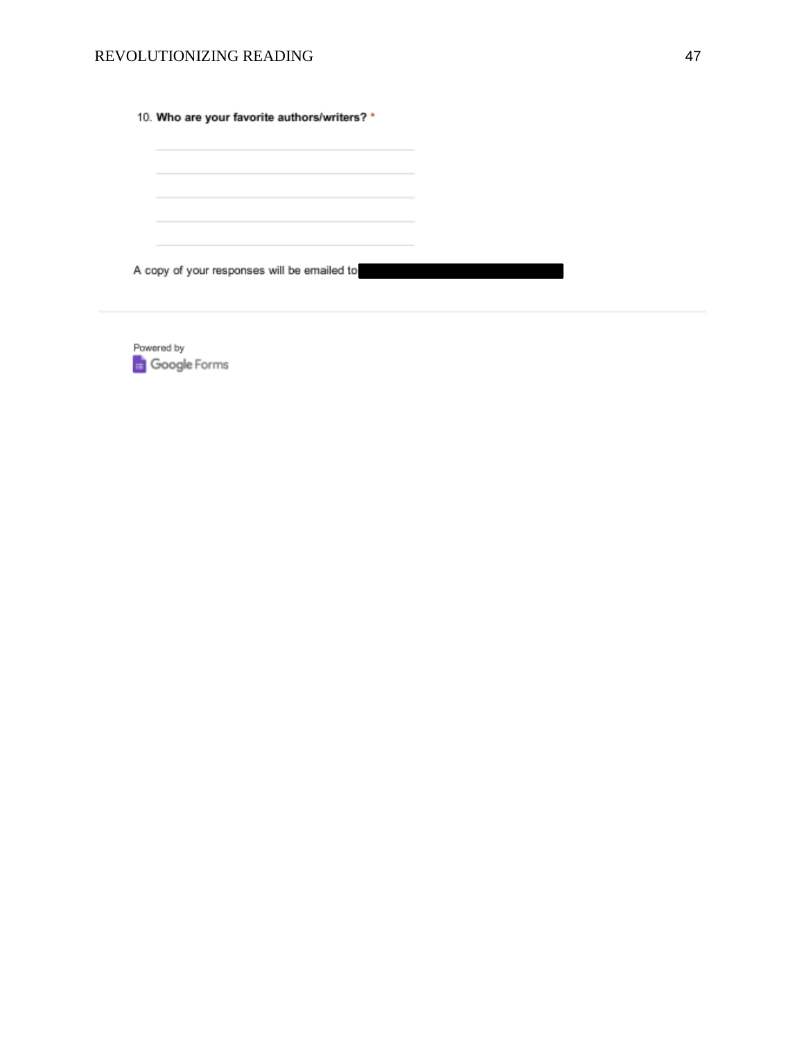#### REVOLUTIONIZING READING 47

10. Who are your favorite authors/writers? \*

A copy of your responses will be emailed to

Powered by Google Forms